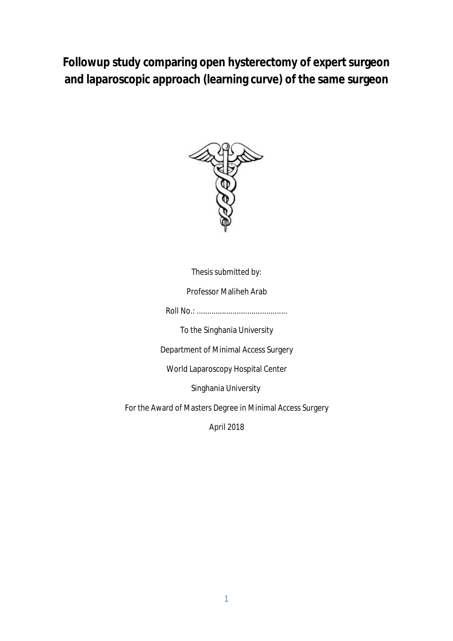**Followup study comparing open hysterectomy of expert surgeon and laparoscopic approach (learning curve) of the same surgeon**



Thesis submitted by:

Professor Maliheh Arab

Roll No.: ...........................................

To the Singhania University

Department of Minimal Access Surgery

World Laparoscopy Hospital Center

Singhania University

For the Award of Masters Degree in Minimal Access Surgery

April 2018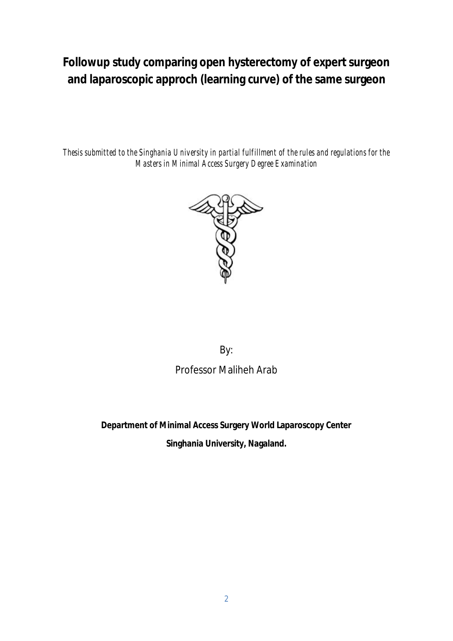**Followup study comparing open hysterectomy of expert surgeon and laparoscopic approch (learning curve) of the same surgeon**

*Thesis submitted to the Singhania University in partial fulfillment of the rules and regulations for the Masters in Minimal Access Surgery Degree Examination*



By: Professor Maliheh Arab

**Department of Minimal Access Surgery World Laparoscopy Center Singhania University, Nagaland.**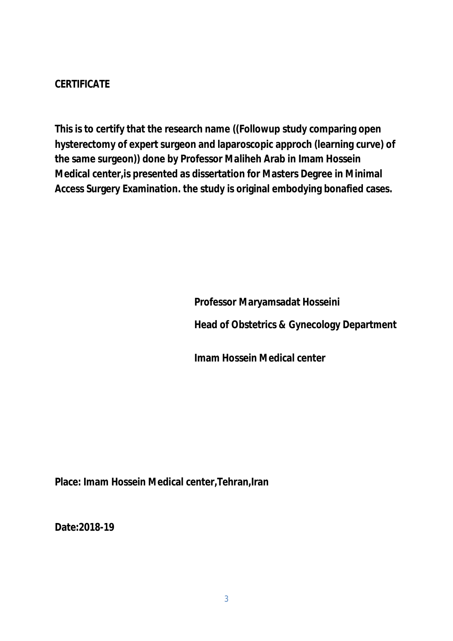## **CERTIFICATE**

**This is to certify that the research name ((Followup study comparing open hysterectomy of expert surgeon and laparoscopic approch (learning curve) of the same surgeon)) done by Professor Maliheh Arab in Imam Hossein Medical center,is presented as dissertation for Masters Degree in Minimal Access Surgery Examination. the study is original embodying bonafied cases.** 

 **Professor Maryamsadat Hosseini** 

 **Head of Obstetrics & Gynecology Department**

 **Imam Hossein Medical center**

**Place: Imam Hossein Medical center,Tehran,Iran**

**Date:2018-19**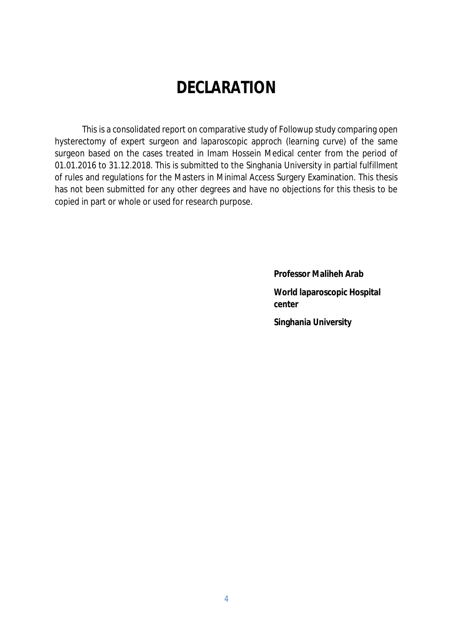## **DECLARATION**

This is a consolidated report on comparative study of Followup study comparing open hysterectomy of expert surgeon and laparoscopic approch (learning curve) of the same surgeon based on the cases treated in Imam Hossein Medical center from the period of 01.01.2016 to 31.12.2018. This is submitted to the Singhania University in partial fulfillment of rules and regulations for the Masters in Minimal Access Surgery Examination. This thesis has not been submitted for any other degrees and have no objections for this thesis to be copied in part or whole or used for research purpose.

> **Professor Maliheh Arab World laparoscopic Hospital center Singhania University**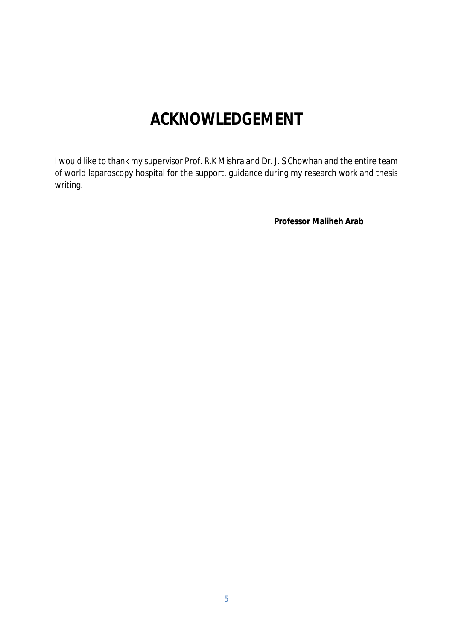# **ACKNOWLEDGEMENT**

I would like to thank my supervisor Prof. R.K Mishra and Dr. J. S Chowhan and the entire team of world laparoscopy hospital for the support, guidance during my research work and thesis writing.

**Professor Maliheh Arab**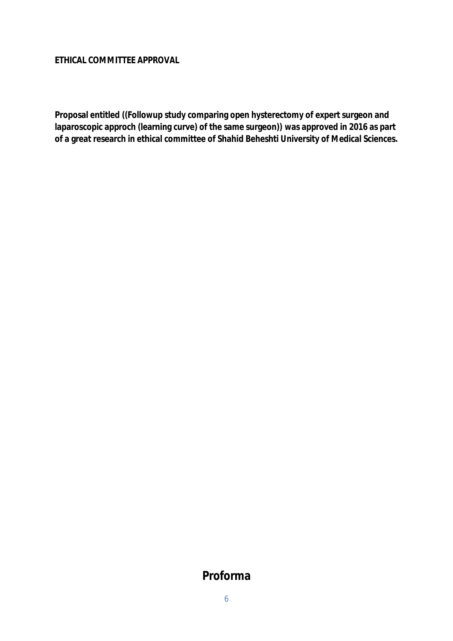## **ETHICAL COMMITTEE APPROVAL**

**Proposal entitled ((Followup study comparing open hysterectomy of expert surgeon and laparoscopic approch (learning curve) of the same surgeon)) was approved in 2016 as part of a great research in ethical committee of Shahid Beheshti University of Medical Sciences.** 

## **Proforma**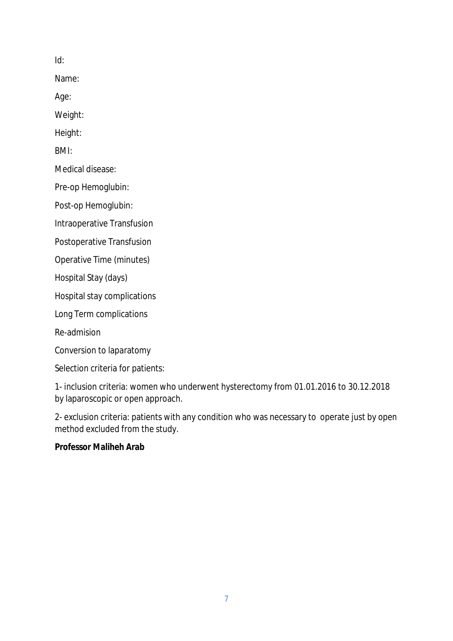Id:

Name:

Age:

Weight:

Height:

BMI:

Medical disease:

Pre-op Hemoglubin:

Post-op Hemoglubin:

Intraoperative Transfusion

Postoperative Transfusion

Operative Time (minutes)

Hospital Stay (days)

Hospital stay complications

Long Term complications

Re-admision

Conversion to laparatomy

Selection criteria for patients:

1- inclusion criteria: women who underwent hysterectomy from 01.01.2016 to 30.12.2018 by laparoscopic or open approach.

2- exclusion criteria: patients with any condition who was necessary to operate just by open method excluded from the study.

**Professor Maliheh Arab**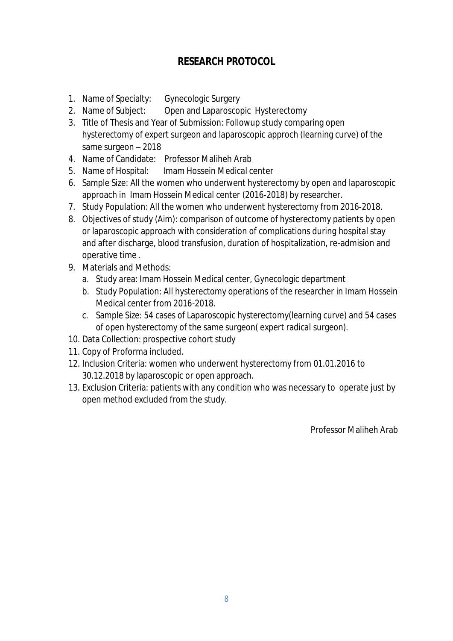## **RESEARCH PROTOCOL**

- 1. Name of Specialty: Gynecologic Surgery
- 2. Name of Subject: Open and Laparoscopic Hysterectomy
- 3. Title of Thesis and Year of Submission: Followup study comparing open hysterectomy of expert surgeon and laparoscopic approch (learning curve) of the same surgeon – 2018
- 4. Name of Candidate: Professor Maliheh Arab
- 5. Name of Hospital: Imam Hossein Medical center
- 6. Sample Size: All the women who underwent hysterectomy by open and laparoscopic approach in Imam Hossein Medical center (2016-2018) by researcher.
- 7. Study Population: All the women who underwent hysterectomy from 2016-2018.
- 8. Objectives of study (Aim): comparison of outcome of hysterectomy patients by open or laparoscopic approach with consideration of complications during hospital stay and after discharge, blood transfusion, duration of hospitalization, re-admision and operative time .
- 9. Materials and Methods:
	- a. Study area: Imam Hossein Medical center, Gynecologic department
	- b. Study Population: All hysterectomy operations of the researcher in Imam Hossein Medical center from 2016-2018.
	- c. Sample Size: 54 cases of Laparoscopic hysterectomy(learning curve) and 54 cases of open hysterectomy of the same surgeon( expert radical surgeon).
- 10. Data Collection: prospective cohort study
- 11. Copy of Proforma included.
- 12. Inclusion Criteria: women who underwent hysterectomy from 01.01.2016 to 30.12.2018 by laparoscopic or open approach.
- 13. Exclusion Criteria: patients with any condition who was necessary to operate just by open method excluded from the study.

Professor Maliheh Arab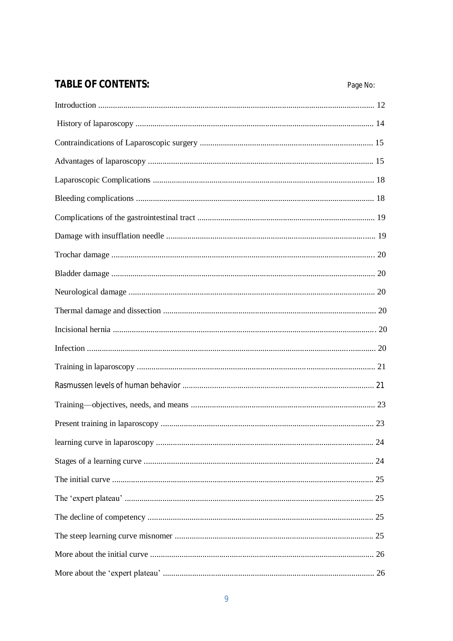## TABLE OF CONTENTS: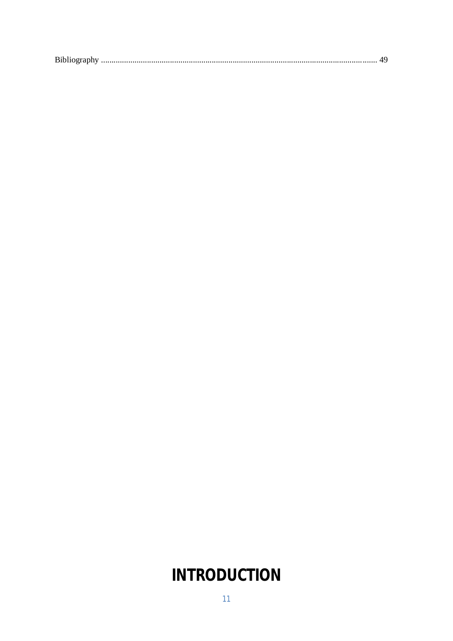| <b>Bibliography</b> |
|---------------------|
|---------------------|

# **INTRODUCTION**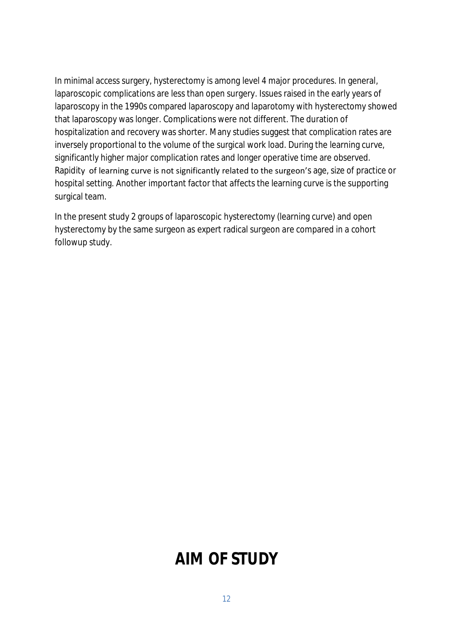In minimal access surgery, hysterectomy is among level 4 major procedures. In general, laparoscopic complications are less than open surgery. Issues raised in the early years of laparoscopy in the 1990s compared laparoscopy and laparotomy with hysterectomy showed that laparoscopy was longer. Complications were not different. The duration of hospitalization and recovery was shorter. Many studies suggest that complication rates are inversely proportional to the volume of the surgical work load. During the learning curve, significantly higher major complication rates and longer operative time are observed. Rapidity of learning curve is not significantly related to the surgeon's age, size of practice or hospital setting. Another important factor that affects the learning curve is the supporting surgical team.

In the present study 2 groups of laparoscopic hysterectomy (learning curve) and open hysterectomy by the same surgeon as expert radical surgeon are compared in a cohort followup study.

## **AIM OF STUDY**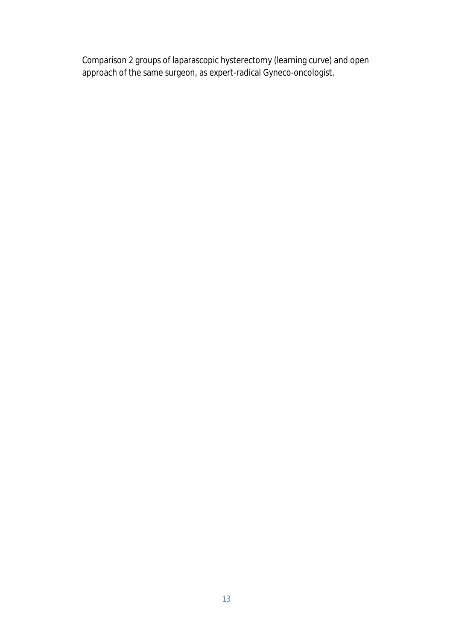Comparison 2 groups of laparascopic hysterectomy (learning curve) and open approach of the same surgeon, as expert-radical Gyneco-oncologist.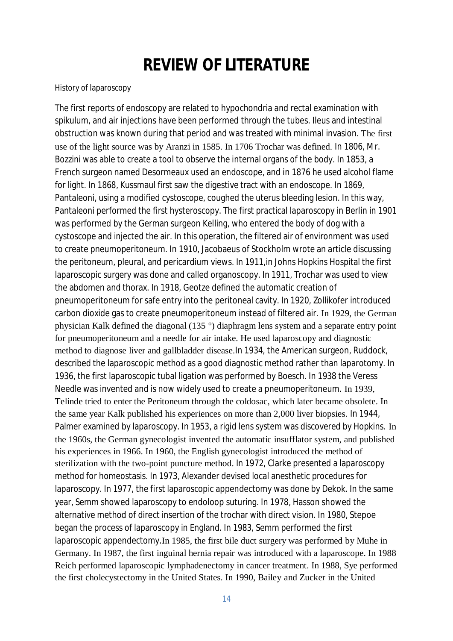# **REVIEW OF LITERATURE**

#### History of laparoscopy

The first reports of endoscopy are related to hypochondria and rectal examination with spikulum, and air injections have been performed through the tubes. Ileus and intestinal obstruction was known during that period and was treated with minimal invasion. The first use of the light source was by Aranzi in 1585. In 1706 Trochar was defined. In 1806, Mr. Bozzini was able to create a tool to observe the internal organs of the body. In 1853, a French surgeon named Desormeaux used an endoscope, and in 1876 he used alcohol flame for light. In 1868, Kussmaul first saw the digestive tract with an endoscope. In 1869, Pantaleoni, using a modified cystoscope, coughed the uterus bleeding lesion. In this way, Pantaleoni performed the first hysteroscopy. The first practical laparoscopy in Berlin in 1901 was performed by the German surgeon Kelling, who entered the body of dog with a cystoscope and injected the air. In this operation, the filtered air of environment was used to create pneumoperitoneum. In 1910, Jacobaeus of Stockholm wrote an article discussing the peritoneum, pleural, and pericardium views. In 1911,in Johns Hopkins Hospital the first laparoscopic surgery was done and called organoscopy. In 1911, Trochar was used to view the abdomen and thorax. In 1918, Geotze defined the automatic creation of pneumoperitoneum for safe entry into the peritoneal cavity. In 1920, Zollikofer introduced carbon dioxide gas to create pneumoperitoneum instead of filtered air. In 1929, the German physician Kalk defined the diagonal (135 °) diaphragm lens system and a separate entry point for pneumoperitoneum and a needle for air intake. He used laparoscopy and diagnostic method to diagnose liver and gallbladder disease.In 1934, the American surgeon, Ruddock, described the laparoscopic method as a good diagnostic method rather than laparotomy. In 1936, the first laparoscopic tubal ligation was performed by Boesch. In 1938 the Veress Needle was invented and is now widely used to create a pneumoperitoneum. In 1939, Telinde tried to enter the Peritoneum through the coldosac, which later became obsolete. In the same year Kalk published his experiences on more than 2,000 liver biopsies. In 1944, Palmer examined by laparoscopy. In 1953, a rigid lens system was discovered by Hopkins. In the 1960s, the German gynecologist invented the automatic insufflator system, and published his experiences in 1966. In 1960, the English gynecologist introduced the method of sterilization with the two-point puncture method. In 1972, Clarke presented a laparoscopy method for homeostasis. In 1973, Alexander devised local anesthetic procedures for laparoscopy. In 1977, the first laparoscopic appendectomy was done by Dekok. In the same year, Semm showed laparoscopy to endoloop suturing. In 1978, Hasson showed the alternative method of direct insertion of the trochar with direct vision. In 1980, Stepoe began the process of laparoscopy in England. In 1983, Semm performed the first laparoscopic appendectomy.In 1985, the first bile duct surgery was performed by Muhe in Germany. In 1987, the first inguinal hernia repair was introduced with a laparoscope. In 1988 Reich performed laparoscopic lymphadenectomy in cancer treatment. In 1988, Sye performed the first cholecystectomy in the United States. In 1990, Bailey and Zucker in the United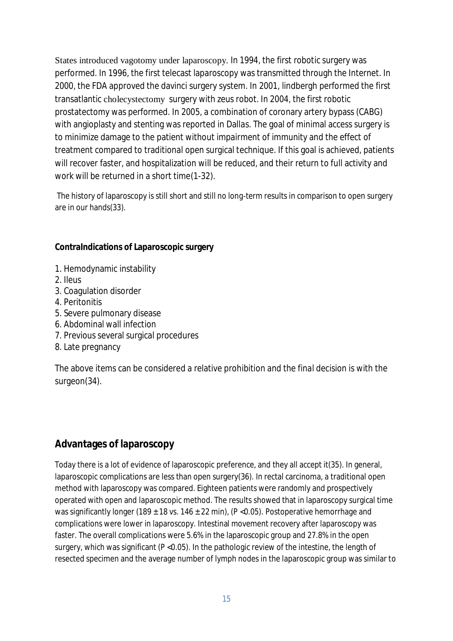States introduced vagotomy under laparoscopy. In 1994, the first robotic surgery was performed. In 1996, the first telecast laparoscopy was transmitted through the Internet. In 2000, the FDA approved the davinci surgery system. In 2001, lindbergh performed the first transatlantic cholecystectomy surgery with zeus robot. In 2004, the first robotic prostatectomy was performed. In 2005, a combination of coronary artery bypass (CABG) with angioplasty and stenting was reported in Dallas. The goal of minimal access surgery is to minimize damage to the patient without impairment of immunity and the effect of treatment compared to traditional open surgical technique. If this goal is achieved, patients will recover faster, and hospitalization will be reduced, and their return to full activity and work will be returned in a short time(1-32).

The history of laparoscopy is still short and still no long-term results in comparison to open surgery are in our hands(33).

**ContraIndications of Laparoscopic surgery**

- 1. Hemodynamic instability
- 2. Ileus
- 3. Coagulation disorder
- 4. Peritonitis
- 5. Severe pulmonary disease
- 6. Abdominal wall infection
- 7. Previous several surgical procedures
- 8. Late pregnancy

The above items can be considered a relative prohibition and the final decision is with the surgeon(34).

## **Advantages of laparoscopy**

Today there is a lot of evidence of laparoscopic preference, and they all accept it(35). In general, laparoscopic complications are less than open surgery(36). In rectal carcinoma, a traditional open method with laparoscopy was compared. Eighteen patients were randomly and prospectively operated with open and laparoscopic method. The results showed that in laparoscopy surgical time was significantly longer (189  $\pm$  18 vs. 146  $\pm$  22 min), (P < 0.05). Postoperative hemorrhage and complications were lower in laparoscopy. Intestinal movement recovery after laparoscopy was faster. The overall complications were 5.6% in the laparoscopic group and 27.8% in the open surgery, which was significant (P <0.05). In the pathologic review of the intestine, the length of resected specimen and the average number of lymph nodes in the laparoscopic group was similar to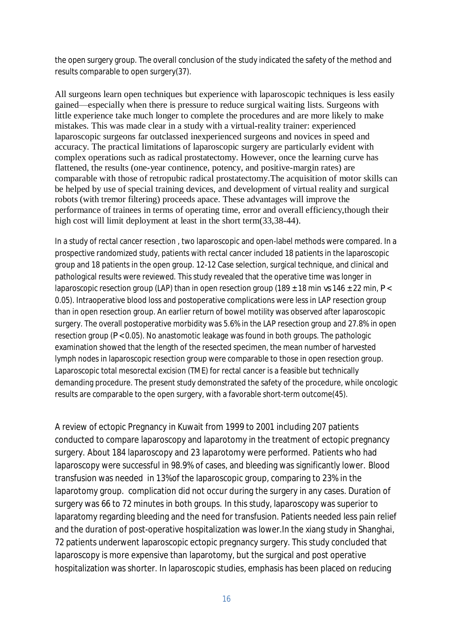the open surgery group. The overall conclusion of the study indicated the safety of the method and results comparable to open surgery(37).

All surgeons learn open techniques but experience with laparoscopic techniques is less easily gained—especially when there is pressure to reduce surgical waiting lists. Surgeons with little experience take much longer to complete the procedures and are more likely to make mistakes. This was made clear in a study with a virtual-reality trainer: experienced laparoscopic surgeons far outclassed inexperienced surgeons and novices in speed and accuracy. The practical limitations of laparoscopic surgery are particularly evident with complex operations such as radical prostatectomy. However, once the learning curve has flattened, the results (one-year continence, potency, and positive-margin rates) are comparable with those of retropubic radical prostatectomy.The acquisition of motor skills can be helped by use of special training devices, and development of virtual reality and surgical robots (with tremor filtering) proceeds apace. These advantages will improve the performance of trainees in terms of operating time, error and overall efficiency,though their high cost will limit deployment at least in the short term(33,38-44).

In a study of rectal cancer resection , two laparoscopic and open-label methods were compared. In a prospective randomized study, patients with rectal cancer included 18 patients in the laparoscopic group and 18 patients in the open group. 12-12 Case selection, surgical technique, and clinical and pathological results were reviewed. This study revealed that the operative time was longer in laparoscopic resection group (LAP) than in open resection group (189 ± 18 min *vs* 146 ± 22 min, *P* < 0.05). Intraoperative blood loss and postoperative complications were less in LAP resection group than in open resection group. An earlier return of bowel motility was observed after laparoscopic surgery. The overall postoperative morbidity was 5.6% in the LAP resection group and 27.8% in open resection group (*P* < 0.05). No anastomotic leakage was found in both groups. The pathologic examination showed that the length of the resected specimen, the mean number of harvested lymph nodes in laparoscopic resection group were comparable to those in open resection group. Laparoscopic total mesorectal excision (TME) for rectal cancer is a feasible but technically demanding procedure. The present study demonstrated the safety of the procedure, while oncologic results are comparable to the open surgery, with a favorable short-term outcome(45).

A review of ectopic Pregnancy in Kuwait from 1999 to 2001 including 207 patients conducted to compare laparoscopy and laparotomy in the treatment of ectopic pregnancy surgery. About 184 laparoscopy and 23 laparotomy were performed. Patients who had laparoscopy were successful in 98.9% of cases, and bleeding was significantly lower. Blood transfusion was needed in 13%of the laparoscopic group, comparing to 23% in the laparotomy group. complication did not occur during the surgery in any cases. Duration of surgery was 66 to 72 minutes in both groups. In this study, laparoscopy was superior to laparatomy regarding bleeding and the need for transfusion. Patients needed less pain relief and the duration of post-operative hospitalization was lower.In the xiang study in Shanghai, 72 patients underwent laparoscopic ectopic pregnancy surgery. This study concluded that laparoscopy is more expensive than laparotomy, but the surgical and post operative hospitalization was shorter. In laparoscopic studies, emphasis has been placed on reducing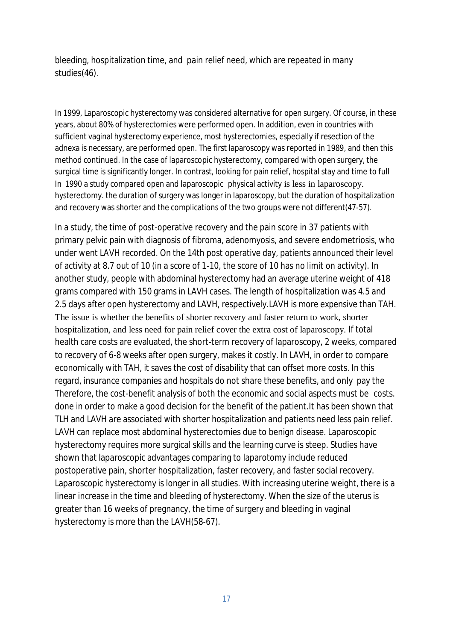bleeding, hospitalization time, and pain relief need, which are repeated in many studies(46).

In 1999, Laparoscopic hysterectomy was considered alternative for open surgery. Of course, in these years, about 80% of hysterectomies were performed open. In addition, even in countries with sufficient vaginal hysterectomy experience, most hysterectomies, especially if resection of the adnexa is necessary, are performed open. The first laparoscopy was reported in 1989, and then this method continued. In the case of laparoscopic hysterectomy, compared with open surgery, the surgical time is significantly longer. In contrast, looking for pain relief, hospital stay and time to full In 1990 a study compared open and laparoscopic physical activity is less in laparoscopy. hysterectomy. the duration of surgery was longer in laparoscopy, but the duration of hospitalization and recovery was shorter and the complications of the two groups were not different(47-57).

In a study, the time of post-operative recovery and the pain score in 37 patients with primary pelvic pain with diagnosis of fibroma, adenomyosis, and severe endometriosis, who under went LAVH recorded. On the 14th post operative day, patients announced their level of activity at 8.7 out of 10 (in a score of 1-10, the score of 10 has no limit on activity). In another study, people with abdominal hysterectomy had an average uterine weight of 418 grams compared with 150 grams in LAVH cases. The length of hospitalization was 4.5 and 2.5 days after open hysterectomy and LAVH, respectively.LAVH is more expensive than TAH. The issue is whether the benefits of shorter recovery and faster return to work, shorter hospitalization, and less need for pain relief cover the extra cost of laparoscopy. If total health care costs are evaluated, the short-term recovery of laparoscopy, 2 weeks, compared to recovery of 6-8 weeks after open surgery, makes it costly. In LAVH, in order to compare economically with TAH, it saves the cost of disability that can offset more costs. In this regard, insurance companies and hospitals do not share these benefits, and only pay the Therefore, the cost-benefit analysis of both the economic and social aspects must be costs. done in order to make a good decision for the benefit of the patient.It has been shown that TLH and LAVH are associated with shorter hospitalization and patients need less pain relief. LAVH can replace most abdominal hysterectomies due to benign disease. Laparoscopic hysterectomy requires more surgical skills and the learning curve is steep. Studies have shown that laparoscopic advantages comparing to laparotomy include reduced postoperative pain, shorter hospitalization, faster recovery, and faster social recovery. Laparoscopic hysterectomy is longer in all studies. With increasing uterine weight, there is a linear increase in the time and bleeding of hysterectomy. When the size of the uterus is greater than 16 weeks of pregnancy, the time of surgery and bleeding in vaginal hysterectomy is more than the LAVH(58-67).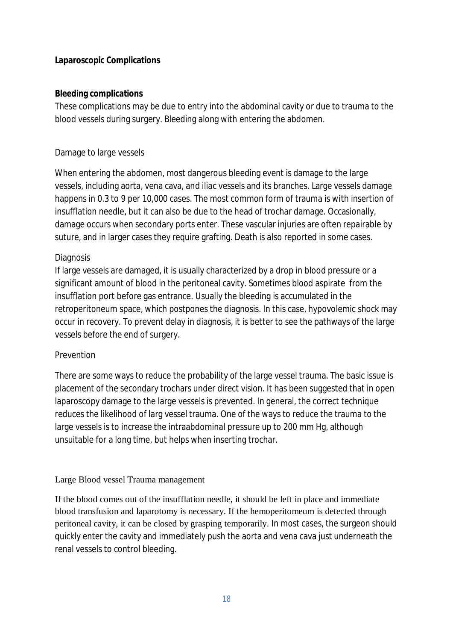## **Laparoscopic Complications**

## **Bleeding complications**

These complications may be due to entry into the abdominal cavity or due to trauma to the blood vessels during surgery. Bleeding along with entering the abdomen.

## Damage to large vessels

When entering the abdomen, most dangerous bleeding event is damage to the large vessels, including aorta, vena cava, and iliac vessels and its branches. Large vessels damage happens in 0.3 to 9 per 10,000 cases. The most common form of trauma is with insertion of insufflation needle, but it can also be due to the head of trochar damage. Occasionally, damage occurs when secondary ports enter. These vascular injuries are often repairable by suture, and in larger cases they require grafting. Death is also reported in some cases.

## **Diagnosis**

If large vessels are damaged, it is usually characterized by a drop in blood pressure or a significant amount of blood in the peritoneal cavity. Sometimes blood aspirate from the insufflation port before gas entrance. Usually the bleeding is accumulated in the retroperitoneum space, which postpones the diagnosis. In this case, hypovolemic shock may occur in recovery. To prevent delay in diagnosis, it is better to see the pathways of the large vessels before the end of surgery.

#### Prevention

There are some ways to reduce the probability of the large vessel trauma. The basic issue is placement of the secondary trochars under direct vision. It has been suggested that in open laparoscopy damage to the large vessels is prevented. In general, the correct technique reduces the likelihood of larg vessel trauma. One of the ways to reduce the trauma to the large vessels is to increase the intraabdominal pressure up to 200 mm Hg, although unsuitable for a long time, but helps when inserting trochar.

#### Large Blood vessel Trauma management

If the blood comes out of the insufflation needle, it should be left in place and immediate blood transfusion and laparotomy is necessary. If the hemoperitomeum is detected through peritoneal cavity, it can be closed by grasping temporarily. In most cases, the surgeon should quickly enter the cavity and immediately push the aorta and vena cava just underneath the renal vessels to control bleeding.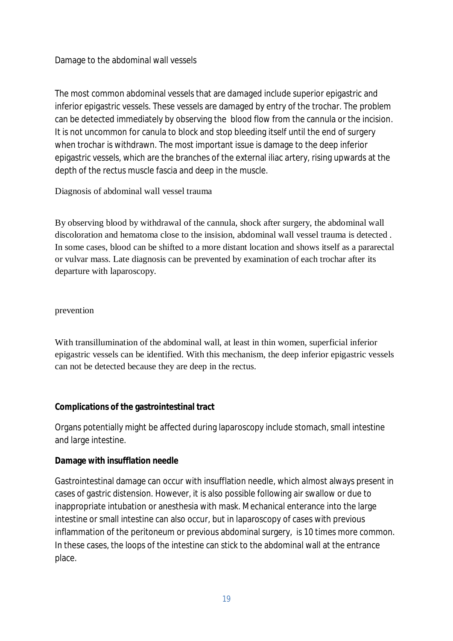## Damage to the abdominal wall vessels

The most common abdominal vessels that are damaged include superior epigastric and inferior epigastric vessels. These vessels are damaged by entry of the trochar. The problem can be detected immediately by observing the blood flow from the cannula or the incision. It is not uncommon for canula to block and stop bleeding itself until the end of surgery when trochar is withdrawn. The most important issue is damage to the deep inferior epigastric vessels, which are the branches of the external iliac artery, rising upwards at the depth of the rectus muscle fascia and deep in the muscle.

## Diagnosis of abdominal wall vessel trauma

By observing blood by withdrawal of the cannula, shock after surgery, the abdominal wall discoloration and hematoma close to the insision, abdominal wall vessel trauma is detected . In some cases, blood can be shifted to a more distant location and shows itself as a pararectal or vulvar mass. Late diagnosis can be prevented by examination of each trochar after its departure with laparoscopy.

#### prevention

With transillumination of the abdominal wall, at least in thin women, superficial inferior epigastric vessels can be identified. With this mechanism, the deep inferior epigastric vessels can not be detected because they are deep in the rectus.

## **Complications of the gastrointestinal tract**

Organs potentially might be affected during laparoscopy include stomach, small intestine and large intestine.

## **Damage with insufflation needle**

Gastrointestinal damage can occur with insufflation needle, which almost always present in cases of gastric distension. However, it is also possible following air swallow or due to inappropriate intubation or anesthesia with mask. Mechanical enterance into the large intestine or small intestine can also occur, but in laparoscopy of cases with previous inflammation of the peritoneum or previous abdominal surgery, is 10 times more common. In these cases, the loops of the intestine can stick to the abdominal wall at the entrance place.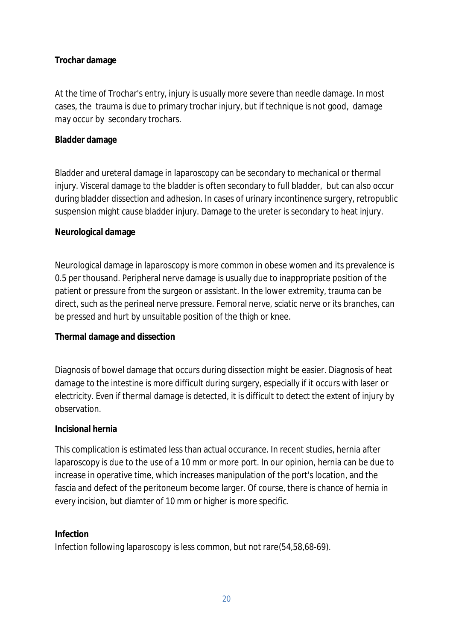## **Trochar damage**

At the time of Trochar's entry, injury is usually more severe than needle damage. In most cases, the trauma is due to primary trochar injury, but if technique is not good, damage may occur by secondary trochars.

## **Bladder damage**

Bladder and ureteral damage in laparoscopy can be secondary to mechanical or thermal injury. Visceral damage to the bladder is often secondary to full bladder, but can also occur during bladder dissection and adhesion. In cases of urinary incontinence surgery, retropublic suspension might cause bladder injury. Damage to the ureter is secondary to heat injury.

## **Neurological damage**

Neurological damage in laparoscopy is more common in obese women and its prevalence is 0.5 per thousand. Peripheral nerve damage is usually due to inappropriate position of the patient or pressure from the surgeon or assistant. In the lower extremity, trauma can be direct, such as the perineal nerve pressure. Femoral nerve, sciatic nerve or its branches, can be pressed and hurt by unsuitable position of the thigh or knee.

## **Thermal damage and dissection**

Diagnosis of bowel damage that occurs during dissection might be easier. Diagnosis of heat damage to the intestine is more difficult during surgery, especially if it occurs with laser or electricity. Even if thermal damage is detected, it is difficult to detect the extent of injury by observation.

## **Incisional hernia**

This complication is estimated less than actual occurance. In recent studies, hernia after laparoscopy is due to the use of a 10 mm or more port. In our opinion, hernia can be due to increase in operative time, which increases manipulation of the port's location, and the fascia and defect of the peritoneum become larger. Of course, there is chance of hernia in every incision, but diamter of 10 mm or higher is more specific.

#### **Infection**

Infection following laparoscopy is less common, but not rare(54,58,68-69).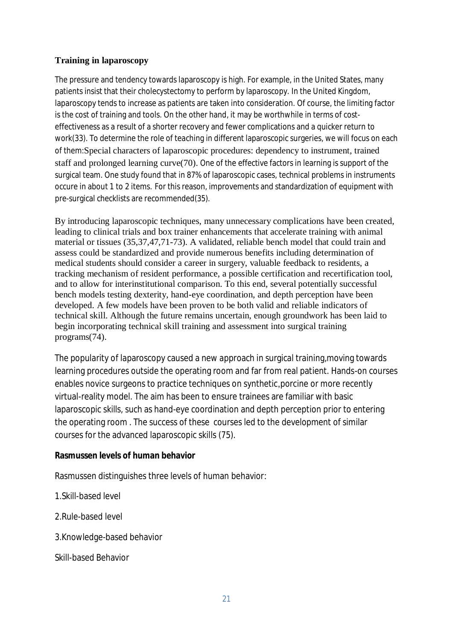## **Training in laparoscopy**

The pressure and tendency towards laparoscopy is high. For example, in the United States, many patients insist that their cholecystectomy to perform by laparoscopy. In the United Kingdom, laparoscopy tends to increase as patients are taken into consideration. Of course, the limiting factor is the cost of training and tools. On the other hand, it may be worthwhile in terms of costeffectiveness as a result of a shorter recovery and fewer complications and a quicker return to work(33). To determine the role of teaching in different laparoscopic surgeries, we will focus on each of them:Special characters of laparoscopic procedures: dependency to instrument, trained staff and prolonged learning curve(70). One of the effective factors in learning is support of the surgical team. One study found that in 87% of laparoscopic cases, technical problems in instruments occure in about 1 to 2 items. For this reason, improvements and standardization of equipment with pre-surgical checklists are recommended(35).

By introducing laparoscopic techniques, many unnecessary complications have been created, leading to clinical trials and box trainer enhancements that accelerate training with animal material or tissues (35,37,47,71-73). A validated, reliable bench model that could train and assess could be standardized and provide numerous benefits including determination of medical students should consider a career in surgery, valuable feedback to residents, a tracking mechanism of resident performance, a possible certification and recertification tool, and to allow for interinstitutional comparison. To this end, several potentially successful bench models testing dexterity, hand-eye coordination, and depth perception have been developed. A few models have been proven to be both valid and reliable indicators of technical skill. Although the future remains uncertain, enough groundwork has been laid to begin incorporating technical skill training and assessment into surgical training programs(74).

The popularity of laparoscopy caused a new approach in surgical training,moving towards learning procedures outside the operating room and far from real patient. Hands-on courses enables novice surgeons to practice techniques on synthetic,porcine or more recently virtual-reality model. The aim has been to ensure trainees are familiar with basic laparoscopic skills, such as hand-eye coordination and depth perception prior to entering the operating room . The success of these courses led to the development of similar courses for the advanced laparoscopic skills (75).

**Rasmussen levels of human behavior**

Rasmussen distinguishes three levels of human behavior:

1.Skill-based level

2.Rule-based level

3.Knowledge-based behavior

Skill-based Behavior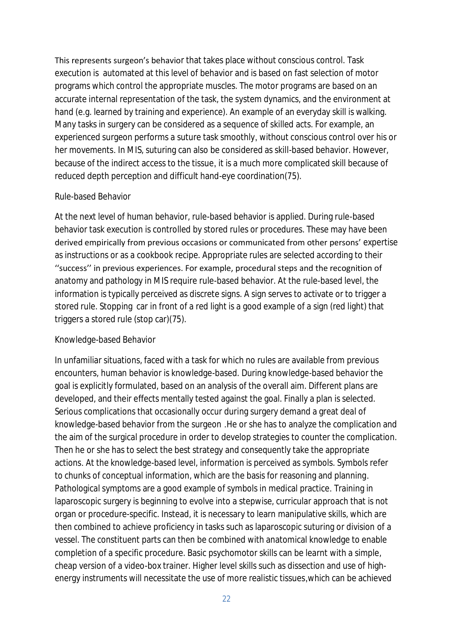This represents surgeon's behavior that takes place without conscious control. Task execution is automated at this level of behavior and is based on fast selection of motor programs which control the appropriate muscles. The motor programs are based on an accurate internal representation of the task, the system dynamics, and the environment at hand (e.g. learned by training and experience). An example of an everyday skill is walking. Many tasks in surgery can be considered as a sequence of skilled acts. For example, an experienced surgeon performs a suture task smoothly, without conscious control over his or her movements. In MIS, suturing can also be considered as skill-based behavior. However, because of the indirect access to the tissue, it is a much more complicated skill because of reduced depth perception and difficult hand-eye coordination(75).

## Rule-based Behavior

At the next level of human behavior, rule-based behavior is applied. During rule-based behavior task execution is controlled by stored rules or procedures. These may have been derived empirically from previous occasions or communicated from other persons' expertise as instructions or as a cookbook recipe. Appropriate rules are selected according to their ''success'' in previous experiences. For example, procedural steps and the recognition of anatomy and pathology in MIS require rule-based behavior. At the rule-based level, the information is typically perceived as discrete signs. A sign serves to activate or to trigger a stored rule. Stopping car in front of a red light is a good example of a sign (red light) that triggers a stored rule (stop car)(75).

## Knowledge-based Behavior

In unfamiliar situations, faced with a task for which no rules are available from previous encounters, human behavior is knowledge-based. During knowledge-based behavior the goal is explicitly formulated, based on an analysis of the overall aim. Different plans are developed, and their effects mentally tested against the goal. Finally a plan is selected. Serious complications that occasionally occur during surgery demand a great deal of knowledge-based behavior from the surgeon .He or she has to analyze the complication and the aim of the surgical procedure in order to develop strategies to counter the complication. Then he or she has to select the best strategy and consequently take the appropriate actions. At the knowledge-based level, information is perceived as symbols. Symbols refer to chunks of conceptual information, which are the basis for reasoning and planning. Pathological symptoms are a good example of symbols in medical practice. Training in laparoscopic surgery is beginning to evolve into a stepwise, curricular approach that is not organ or procedure-specific. Instead, it is necessary to learn manipulative skills, which are then combined to achieve proficiency in tasks such as laparoscopic suturing or division of a vessel. The constituent parts can then be combined with anatomical knowledge to enable completion of a specific procedure. Basic psychomotor skills can be learnt with a simple, cheap version of a video-box trainer. Higher level skills such as dissection and use of highenergy instruments will necessitate the use of more realistic tissues,which can be achieved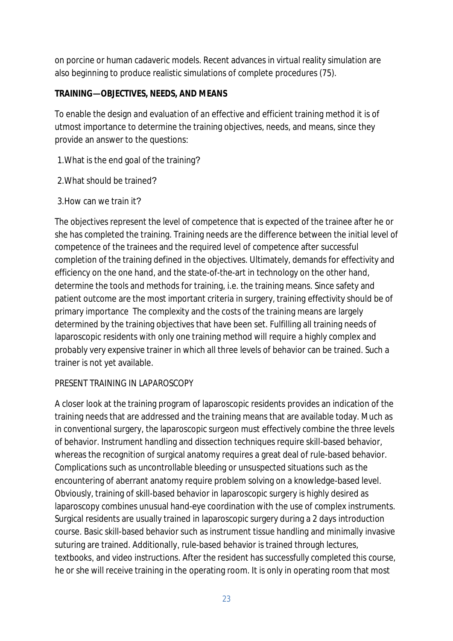on porcine or human cadaveric models. Recent advances in virtual reality simulation are also beginning to produce realistic simulations of complete procedures (75).

**TRAINING—OBJECTIVES, NEEDS, AND MEANS**

To enable the design and evaluation of an effective and efficient training method it is of utmost importance to determine the training objectives, needs, and means, since they provide an answer to the questions:

1.What is the end goal of the training?

- 2.What should be trained?
- 3.How can we train it?

The objectives represent the level of competence that is expected of the trainee after he or she has completed the training. Training needs are the difference between the initial level of competence of the trainees and the required level of competence after successful completion of the training defined in the objectives. Ultimately, demands for effectivity and efficiency on the one hand, and the state-of-the-art in technology on the other hand, determine the tools and methods for training, i.e. the training means. Since safety and patient outcome are the most important criteria in surgery, training effectivity should be of primary importance The complexity and the costs of the training means are largely determined by the training objectives that have been set. Fulfilling all training needs of laparoscopic residents with only one training method will require a highly complex and probably very expensive trainer in which all three levels of behavior can be trained. Such a trainer is not yet available.

## PRESENT TRAINING IN LAPAROSCOPY

A closer look at the training program of laparoscopic residents provides an indication of the training needs that are addressed and the training means that are available today. Much as in conventional surgery, the laparoscopic surgeon must effectively combine the three levels of behavior. Instrument handling and dissection techniques require skill-based behavior, whereas the recognition of surgical anatomy requires a great deal of rule-based behavior. Complications such as uncontrollable bleeding or unsuspected situations such as the encountering of aberrant anatomy require problem solving on a knowledge-based level. Obviously, training of skill-based behavior in laparoscopic surgery is highly desired as laparoscopy combines unusual hand-eye coordination with the use of complex instruments. Surgical residents are usually trained in laparoscopic surgery during a 2 days introduction course. Basic skill-based behavior such as instrument tissue handling and minimally invasive suturing are trained. Additionally, rule-based behavior is trained through lectures, textbooks, and video instructions. After the resident has successfully completed this course, he or she will receive training in the operating room. It is only in operating room that most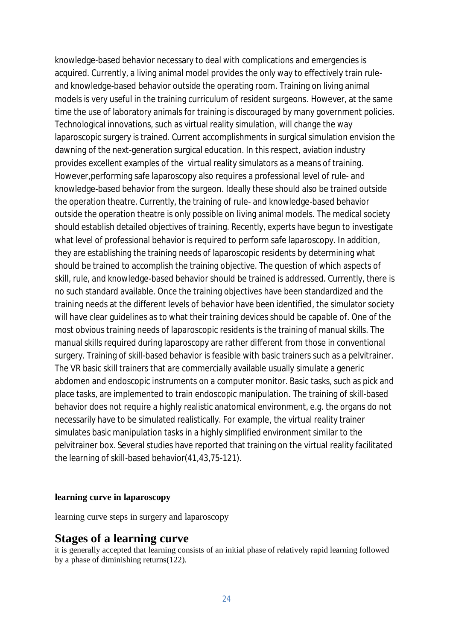knowledge-based behavior necessary to deal with complications and emergencies is acquired. Currently, a living animal model provides the only way to effectively train ruleand knowledge-based behavior outside the operating room. Training on living animal models is very useful in the training curriculum of resident surgeons. However, at the same time the use of laboratory animals for training is discouraged by many government policies. Technological innovations, such as virtual reality simulation, will change the way laparoscopic surgery is trained. Current accomplishments in surgical simulation envision the dawning of the next-generation surgical education. In this respect, aviation industry provides excellent examples of the virtual reality simulators as a means of training. However,performing safe laparoscopy also requires a professional level of rule- and knowledge-based behavior from the surgeon. Ideally these should also be trained outside the operation theatre. Currently, the training of rule- and knowledge-based behavior outside the operation theatre is only possible on living animal models. The medical society should establish detailed objectives of training. Recently, experts have begun to investigate what level of professional behavior is required to perform safe laparoscopy. In addition, they are establishing the training needs of laparoscopic residents by determining what should be trained to accomplish the training objective. The question of which aspects of skill, rule, and knowledge-based behavior should be trained is addressed. Currently, there is no such standard available. Once the training objectives have been standardized and the training needs at the different levels of behavior have been identified, the simulator society will have clear guidelines as to what their training devices should be capable of. One of the most obvious training needs of laparoscopic residents is the training of manual skills. The manual skills required during laparoscopy are rather different from those in conventional surgery. Training of skill-based behavior is feasible with basic trainers such as a pelvitrainer. The VR basic skill trainers that are commercially available usually simulate a generic abdomen and endoscopic instruments on a computer monitor. Basic tasks, such as pick and place tasks, are implemented to train endoscopic manipulation. The training of skill-based behavior does not require a highly realistic anatomical environment, e.g. the organs do not necessarily have to be simulated realistically. For example, the virtual reality trainer simulates basic manipulation tasks in a highly simplified environment similar to the pelvitrainer box. Several studies have reported that training on the virtual reality facilitated the learning of skill-based behavior(41,43,75-121).

#### **learning curve in laparoscopy**

learning curve steps in surgery and laparoscopy

## **Stages of a learning curve**

it is generally accepted that learning consists of an initial phase of relatively rapid learning followed by a phase of diminishing returns(122).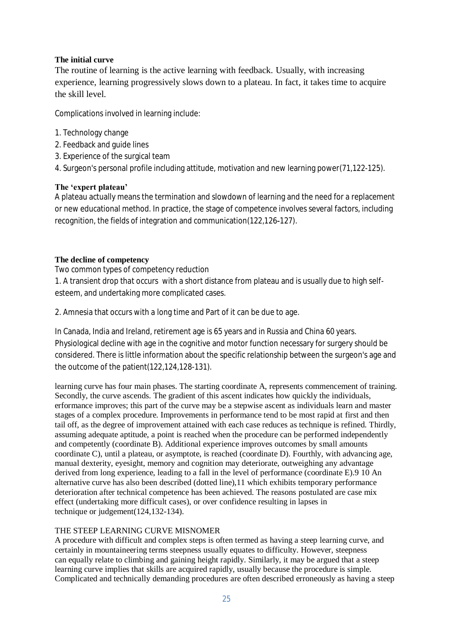#### **The initial curve**

The routine of learning is the active learning with feedback. Usually, with increasing experience, learning progressively slows down to a plateau. In fact, it takes time to acquire the skill level.

Complications involved in learning include:

- 1. Technology change
- 2. Feedback and guide lines
- 3. Experience of the surgical team
- 4. Surgeon's personal profile including attitude, motivation and new learning power(71,122-125).

#### **The 'expert plateau'**

A plateau actually means the termination and slowdown of learning and the need for a replacement or new educational method. In practice, the stage of competence involves several factors, including recognition, the fields of integration and communication(122,126-127).

#### **The decline of competency**

Two common types of competency reduction

1. A transient drop that occurs with a short distance from plateau and is usually due to high selfesteem, and undertaking more complicated cases.

2. Amnesia that occurs with a long time and Part of it can be due to age.

In Canada, India and Ireland, retirement age is 65 years and in Russia and China 60 years. Physiological decline with age in the cognitive and motor function necessary for surgery should be considered. There is little information about the specific relationship between the surgeon's age and the outcome of the patient(122,124,128-131).

learning curve has four main phases. The starting coordinate A, represents commencement of training. Secondly, the curve ascends. The gradient of this ascent indicates how quickly the individuals, erformance improves; this part of the curve may be a stepwise ascent as individuals learn and master stages of a complex procedure. Improvements in performance tend to be most rapid at first and then tail off, as the degree of improvement attained with each case reduces as technique is refined. Thirdly, assuming adequate aptitude, a point is reached when the procedure can be performed independently and competently (coordinate B). Additional experience improves outcomes by small amounts coordinate C), until a plateau, or asymptote, is reached (coordinate D). Fourthly, with advancing age, manual dexterity, eyesight, memory and cognition may deteriorate, outweighing any advantage derived from long experience, leading to a fall in the level of performance (coordinate E).9 10 An alternative curve has also been described (dotted line),11 which exhibits temporary performance deterioration after technical competence has been achieved. The reasons postulated are case mix effect (undertaking more difficult cases), or over confidence resulting in lapses in technique or judgement(124,132-134).

#### THE STEEP LEARNING CURVE MISNOMER

A procedure with difficult and complex steps is often termed as having a steep learning curve, and certainly in mountaineering terms steepness usually equates to difficulty. However, steepness can equally relate to climbing and gaining height rapidly. Similarly, it may be argued that a steep learning curve implies that skills are acquired rapidly, usually because the procedure is simple. Complicated and technically demanding procedures are often described erroneously as having a steep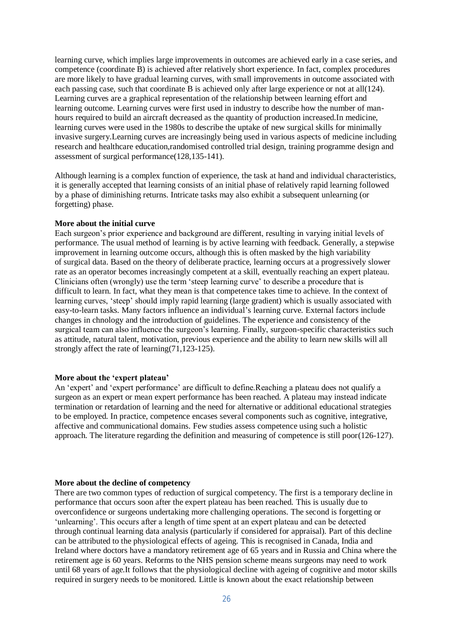learning curve, which implies large improvements in outcomes are achieved early in a case series, and competence (coordinate B) is achieved after relatively short experience. In fact, complex procedures are more likely to have gradual learning curves, with small improvements in outcome associated with each passing case, such that coordinate B is achieved only after large experience or not at all(124). Learning curves are a graphical representation of the relationship between learning effort and learning outcome. Learning curves were first used in industry to describe how the number of manhours required to build an aircraft decreased as the quantity of production increased.In medicine, learning curves were used in the 1980s to describe the uptake of new surgical skills for minimally invasive surgery.Learning curves are increasingly being used in various aspects of medicine including research and healthcare education,randomised controlled trial design, training programme design and assessment of surgical performance(128,135-141).

Although learning is a complex function of experience, the task at hand and individual characteristics, it is generally accepted that learning consists of an initial phase of relatively rapid learning followed by a phase of diminishing returns. Intricate tasks may also exhibit a subsequent unlearning (or forgetting) phase.

#### **More about the initial curve**

Each surgeon's prior experience and background are different, resulting in varying initial levels of performance. The usual method of learning is by active learning with feedback. Generally, a stepwise improvement in learning outcome occurs, although this is often masked by the high variability of surgical data. Based on the theory of deliberate practice, learning occurs at a progressively slower rate as an operator becomes increasingly competent at a skill, eventually reaching an expert plateau. Clinicians often (wrongly) use the term 'steep learning curve' to describe a procedure that is difficult to learn. In fact, what they mean is that competence takes time to achieve. In the context of learning curves, 'steep' should imply rapid learning (large gradient) which is usually associated with easy-to-learn tasks. Many factors influence an individual's learning curve. External factors include changes in chnology and the introduction of guidelines. The experience and consistency of the surgical team can also influence the surgeon's learning. Finally, surgeon-specific characteristics such as attitude, natural talent, motivation, previous experience and the ability to learn new skills will all strongly affect the rate of learning(71,123-125).

#### **More about the 'expert plateau'**

An 'expert' and 'expert performance' are difficult to define.Reaching a plateau does not qualify a surgeon as an expert or mean expert performance has been reached. A plateau may instead indicate termination or retardation of learning and the need for alternative or additional educational strategies to be employed. In practice, competence encases several components such as cognitive, integrative, affective and communicational domains. Few studies assess competence using such a holistic approach. The literature regarding the definition and measuring of competence is still poor(126-127).

#### **More about the decline of competency**

There are two common types of reduction of surgical competency. The first is a temporary decline in performance that occurs soon after the expert plateau has been reached. This is usually due to overconfidence or surgeons undertaking more challenging operations. The second is forgetting or 'unlearning'. This occurs after a length of time spent at an expert plateau and can be detected through continual learning data analysis (particularly if considered for appraisal). Part of this decline can be attributed to the physiological effects of ageing. This is recognised in Canada, India and Ireland where doctors have a mandatory retirement age of 65 years and in Russia and China where the retirement age is 60 years. Reforms to the NHS pension scheme means surgeons may need to work until 68 years of age.It follows that the physiological decline with ageing of cognitive and motor skills required in surgery needs to be monitored. Little is known about the exact relationship between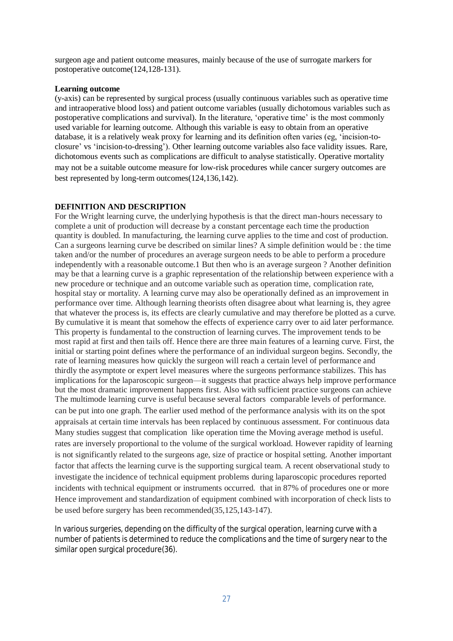surgeon age and patient outcome measures, mainly because of the use of surrogate markers for postoperative outcome(124,128-131).

#### **Learning outcome**

(y-axis) can be represented by surgical process (usually continuous variables such as operative time and intraoperative blood loss) and patient outcome variables (usually dichotomous variables such as postoperative complications and survival). In the literature, 'operative time' is the most commonly used variable for learning outcome. Although this variable is easy to obtain from an operative database, it is a relatively weak proxy for learning and its definition often varies (eg, 'incision-toclosure' vs 'incision-to-dressing'). Other learning outcome variables also face validity issues. Rare, dichotomous events such as complications are difficult to analyse statistically. Operative mortality may not be a suitable outcome measure for low-risk procedures while cancer surgery outcomes are best represented by long-term outcomes(124,136,142).

#### **DEFINITION AND DESCRIPTION**

For the Wright learning curve, the underlying hypothesis is that the direct man-hours necessary to complete a unit of production will decrease by a constant percentage each time the production quantity is doubled. In manufacturing, the learning curve applies to the time and cost of production. Can a surgeons learning curve be described on similar lines? A simple definition would be : the time taken and/or the number of procedures an average surgeon needs to be able to perform a procedure independently with a reasonable outcome.1 But then who is an average surgeon ? Another definition may be that a learning curve is a graphic representation of the relationship between experience with a new procedure or technique and an outcome variable such as operation time, complication rate, hospital stay or mortality. A learning curve may also be operationally defined as an improvement in performance over time. Although learning theorists often disagree about what learning is, they agree that whatever the process is, its effects are clearly cumulative and may therefore be plotted as a curve. By cumulative it is meant that somehow the effects of experience carry over to aid later performance. This property is fundamental to the construction of learning curves. The improvement tends to be most rapid at first and then tails off. Hence there are three main features of a learning curve. First, the initial or starting point defines where the performance of an individual surgeon begins. Secondly, the rate of learning measures how quickly the surgeon will reach a certain level of performance and thirdly the asymptote or expert level measures where the surgeons performance stabilizes. This has implications for the laparoscopic surgeon—it suggests that practice always help improve performance but the most dramatic improvement happens first. Also with sufficient practice surgeons can achieve The multimode learning curve is useful because several factors comparable levels of performance. can be put into one graph. The earlier used method of the performance analysis with its on the spot appraisals at certain time intervals has been replaced by continuous assessment. For continuous data Many studies suggest that complication like operation time the Moving average method is useful. rates are inversely proportional to the volume of the surgical workload. However rapidity of learning is not significantly related to the surgeons age, size of practice or hospital setting. Another important factor that affects the learning curve is the supporting surgical team. A recent observational study to investigate the incidence of technical equipment problems during laparoscopic procedures reported incidents with technical equipment or instruments occurred. that in 87% of procedures one or more Hence improvement and standardization of equipment combined with incorporation of check lists to be used before surgery has been recommended(35,125,143-147).

In various surgeries, depending on the difficulty of the surgical operation, learning curve with a number of patients is determined to reduce the complications and the time of surgery near to the similar open surgical procedure(36).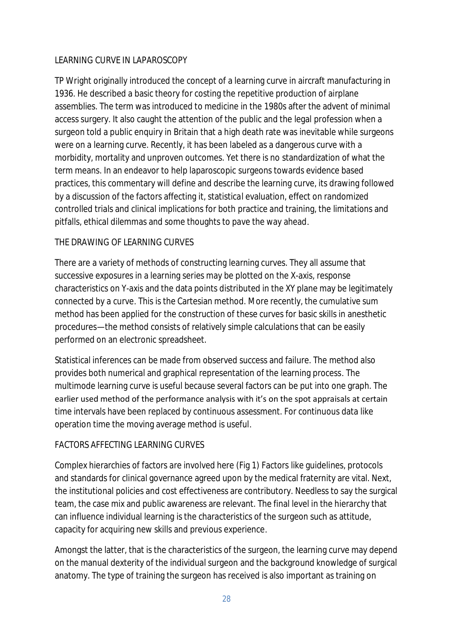## LEARNING CURVE IN LAPAROSCOPY

TP Wright originally introduced the concept of a learning curve in aircraft manufacturing in 1936. He described a basic theory for costing the repetitive production of airplane assemblies. The term was introduced to medicine in the 1980s after the advent of minimal access surgery. It also caught the attention of the public and the legal profession when a surgeon told a public enquiry in Britain that a high death rate was inevitable while surgeons were on a learning curve. Recently, it has been labeled as a dangerous curve with a morbidity, mortality and unproven outcomes. Yet there is no standardization of what the term means. In an endeavor to help laparoscopic surgeons towards evidence based practices, this commentary will define and describe the learning curve, its drawing followed by a discussion of the factors affecting it, statistical evaluation, effect on randomized controlled trials and clinical implications for both practice and training, the limitations and pitfalls, ethical dilemmas and some thoughts to pave the way ahead.

## THE DRAWING OF LEARNING CURVES

There are a variety of methods of constructing learning curves. They all assume that successive exposures in a learning series may be plotted on the X-axis, response characteristics on Y-axis and the data points distributed in the XY plane may be legitimately connected by a curve. This is the Cartesian method. More recently, the cumulative sum method has been applied for the construction of these curves for basic skills in anesthetic procedures—the method consists of relatively simple calculations that can be easily performed on an electronic spreadsheet.

Statistical inferences can be made from observed success and failure. The method also provides both numerical and graphical representation of the learning process. The multimode learning curve is useful because several factors can be put into one graph. The earlier used method of the performance analysis with it's on the spot appraisals at certain time intervals have been replaced by continuous assessment. For continuous data like operation time the moving average method is useful.

## FACTORS AFFECTING LEARNING CURVES

Complex hierarchies of factors are involved here (Fig 1) Factors like guidelines, protocols and standards for clinical governance agreed upon by the medical fraternity are vital. Next, the institutional policies and cost effectiveness are contributory. Needless to say the surgical team, the case mix and public awareness are relevant. The final level in the hierarchy that can influence individual learning is the characteristics of the surgeon such as attitude, capacity for acquiring new skills and previous experience.

Amongst the latter, that is the characteristics of the surgeon, the learning curve may depend on the manual dexterity of the individual surgeon and the background knowledge of surgical anatomy. The type of training the surgeon has received is also important as training on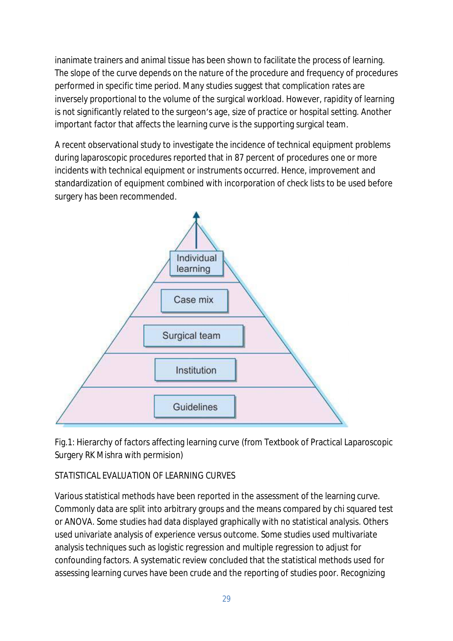inanimate trainers and animal tissue has been shown to facilitate the process of learning. The slope of the curve depends on the nature of the procedure and frequency of procedures performed in specific time period. Many studies suggest that complication rates are inversely proportional to the volume of the surgical workload. However, rapidity of learning is not significantly related to the surgeon's age, size of practice or hospital setting. Another important factor that affects the learning curve is the supporting surgical team.

A recent observational study to investigate the incidence of technical equipment problems during laparoscopic procedures reported that in 87 percent of procedures one or more incidents with technical equipment or instruments occurred. Hence, improvement and standardization of equipment combined with incorporation of check lists to be used before surgery has been recommended.



Fig.1: Hierarchy of factors affecting learning curve (from Textbook of Practical Laparoscopic Surgery RK Mishra with permision)

STATISTICAL EVALUATION OF LEARNING CURVES

Various statistical methods have been reported in the assessment of the learning curve. Commonly data are split into arbitrary groups and the means compared by chi squared test or ANOVA. Some studies had data displayed graphically with no statistical analysis. Others used univariate analysis of experience versus outcome. Some studies used multivariate analysis techniques such as logistic regression and multiple regression to adjust for confounding factors. A systematic review concluded that the statistical methods used for assessing learning curves have been crude and the reporting of studies poor. Recognizing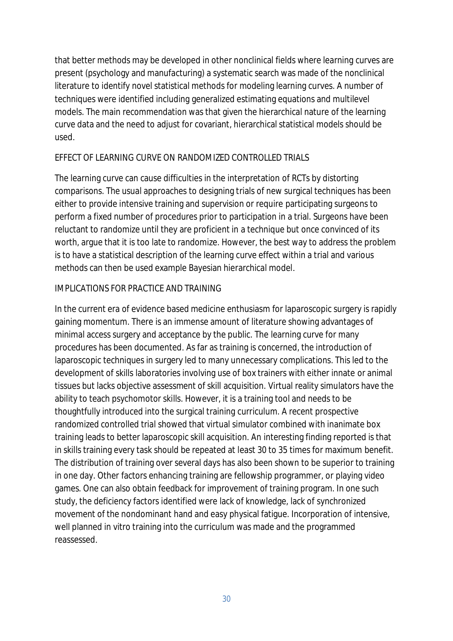that better methods may be developed in other nonclinical fields where learning curves are present (psychology and manufacturing) a systematic search was made of the nonclinical literature to identify novel statistical methods for modeling learning curves. A number of techniques were identified including generalized estimating equations and multilevel models. The main recommendation was that given the hierarchical nature of the learning curve data and the need to adjust for covariant, hierarchical statistical models should be used.

## EFFECT OF LEARNING CURVE ON RANDOMIZED CONTROLLED TRIALS

The learning curve can cause difficulties in the interpretation of RCTs by distorting comparisons. The usual approaches to designing trials of new surgical techniques has been either to provide intensive training and supervision or require participating surgeons to perform a fixed number of procedures prior to participation in a trial. Surgeons have been reluctant to randomize until they are proficient in a technique but once convinced of its worth, argue that it is too late to randomize. However, the best way to address the problem is to have a statistical description of the learning curve effect within a trial and various methods can then be used example Bayesian hierarchical model.

## IMPLICATIONS FOR PRACTICE AND TRAINING

In the current era of evidence based medicine enthusiasm for laparoscopic surgery is rapidly gaining momentum. There is an immense amount of literature showing advantages of minimal access surgery and acceptance by the public. The learning curve for many procedures has been documented. As far as training is concerned, the introduction of laparoscopic techniques in surgery led to many unnecessary complications. This led to the development of skills laboratories involving use of box trainers with either innate or animal tissues but lacks objective assessment of skill acquisition. Virtual reality simulators have the ability to teach psychomotor skills. However, it is a training tool and needs to be thoughtfully introduced into the surgical training curriculum. A recent prospective randomized controlled trial showed that virtual simulator combined with inanimate box training leads to better laparoscopic skill acquisition. An interesting finding reported is that in skills training every task should be repeated at least 30 to 35 times for maximum benefit. The distribution of training over several days has also been shown to be superior to training in one day. Other factors enhancing training are fellowship programmer, or playing video games. One can also obtain feedback for improvement of training program. In one such study, the deficiency factors identified were lack of knowledge, lack of synchronized movement of the nondominant hand and easy physical fatigue. Incorporation of intensive, well planned in vitro training into the curriculum was made and the programmed reassessed.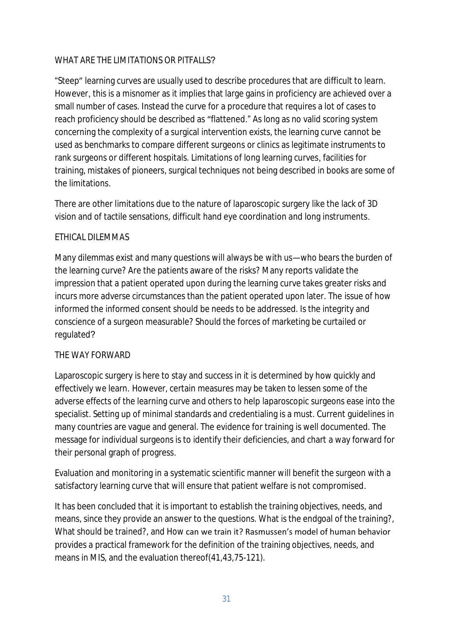## WHAT ARE THE LIMITATIONS OR PITFALLS?

"Steep" learning curves are usually used to describe procedures that are difficult to learn. However, this is a misnomer as it implies that large gains in proficiency are achieved over a small number of cases. Instead the curve for a procedure that requires a lot of cases to reach proficiency should be described as "flattened." As long as no valid scoring system concerning the complexity of a surgical intervention exists, the learning curve cannot be used as benchmarks to compare different surgeons or clinics as legitimate instruments to rank surgeons or different hospitals. Limitations of long learning curves, facilities for training, mistakes of pioneers, surgical techniques not being described in books are some of the limitations.

There are other limitations due to the nature of laparoscopic surgery like the lack of 3D vision and of tactile sensations, difficult hand eye coordination and long instruments.

## ETHICAL DILEMMAS

Many dilemmas exist and many questions will always be with us—who bears the burden of the learning curve? Are the patients aware of the risks? Many reports validate the impression that a patient operated upon during the learning curve takes greater risks and incurs more adverse circumstances than the patient operated upon later. The issue of how informed the informed consent should be needs to be addressed. Is the integrity and conscience of a surgeon measurable? Should the forces of marketing be curtailed or regulated?

## THE WAY FORWARD

Laparoscopic surgery is here to stay and success in it is determined by how quickly and effectively we learn. However, certain measures may be taken to lessen some of the adverse effects of the learning curve and others to help laparoscopic surgeons ease into the specialist. Setting up of minimal standards and credentialing is a must. Current guidelines in many countries are vague and general. The evidence for training is well documented. The message for individual surgeons is to identify their deficiencies, and chart a way forward for their personal graph of progress.

Evaluation and monitoring in a systematic scientific manner will benefit the surgeon with a satisfactory learning curve that will ensure that patient welfare is not compromised.

It has been concluded that it is important to establish the training objectives, needs, and means, since they provide an answer to the questions. What is the endgoal of the training?, What should be trained?, and How can we train it? Rasmussen's model of human behavior provides a practical framework for the definition of the training objectives, needs, and means in MIS, and the evaluation thereof(41,43,75-121).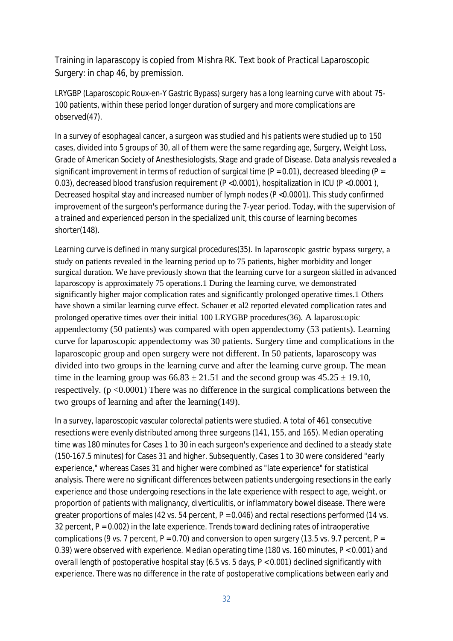Training in laparascopy is copied from Mishra RK. Text book of Practical Laparoscopic Surgery: in chap 46, by premission.

LRYGBP (Laparoscopic Roux-en-Y Gastric Bypass) surgery has a long learning curve with about 75- 100 patients, within these period longer duration of surgery and more complications are observed(47).

In a survey of esophageal cancer, a surgeon was studied and his patients were studied up to 150 cases, divided into 5 groups of 30, all of them were the same regarding age, Surgery, Weight Loss, Grade of American Society of Anesthesiologists, Stage and grade of Disease. Data analysis revealed a significant improvement in terms of reduction of surgical time  $(P = 0.01)$ , decreased bleeding  $(P = 0.01)$ 0.03), decreased blood transfusion requirement (P <0.0001), hospitalization in ICU (P <0.0001 ), Decreased hospital stay and increased number of lymph nodes (P <0.0001). This study confirmed improvement of the surgeon's performance during the 7-year period. Today, with the supervision of a trained and experienced person in the specialized unit, this course of learning becomes shorter(148).

Learning curve is defined in many surgical procedures(35). In laparoscopic gastric bypass surgery, a study on patients revealed in the learning period up to 75 patients, higher morbidity and longer surgical duration. We have previously shown that the learning curve for a surgeon skilled in advanced laparoscopy is approximately 75 operations.1 During the learning curve, we demonstrated significantly higher major complication rates and significantly prolonged operative times.1 Others have shown a similar learning curve effect. Schauer et al2 reported elevated complication rates and prolonged operative times over their initial 100 LRYGBP procedures(36). A laparoscopic appendectomy (50 patients) was compared with open appendectomy (53 patients). Learning curve for laparoscopic appendectomy was 30 patients. Surgery time and complications in the laparoscopic group and open surgery were not different. In 50 patients, laparoscopy was divided into two groups in the learning curve and after the learning curve group. The mean time in the learning group was  $66.83 \pm 21.51$  and the second group was  $45.25 \pm 19.10$ , respectively. (p <0.0001) There was no difference in the surgical complications between the two groups of learning and after the learning(149).

In a survey, laparoscopic vascular colorectal patients were studied. A total of 461 consecutive resections were evenly distributed among three surgeons (141, 155, and 165). Median operating time was 180 minutes for Cases 1 to 30 in each surgeon's experience and declined to a steady state (150-167.5 minutes) for Cases 31 and higher. Subsequently, Cases 1 to 30 were considered "early experience," whereas Cases 31 and higher were combined as "late experience" for statistical analysis. There were no significant differences between patients undergoing resections in the early experience and those undergoing resections in the late experience with respect to age, weight, or proportion of patients with malignancy, diverticulitis, or inflammatory bowel disease. There were greater proportions of males (42 vs. 54 percent,  $P = 0.046$ ) and rectal resections performed (14 vs. 32 percent,  $P = 0.002$ ) in the late experience. Trends toward declining rates of intraoperative complications (9 vs. 7 percent,  $P = 0.70$ ) and conversion to open surgery (13.5 vs. 9.7 percent,  $P =$ 0.39) were observed with experience. Median operating time (180 vs. 160 minutes, P < 0.001) and overall length of postoperative hospital stay (6.5 vs. 5 days, P < 0.001) declined significantly with experience. There was no difference in the rate of postoperative complications between early and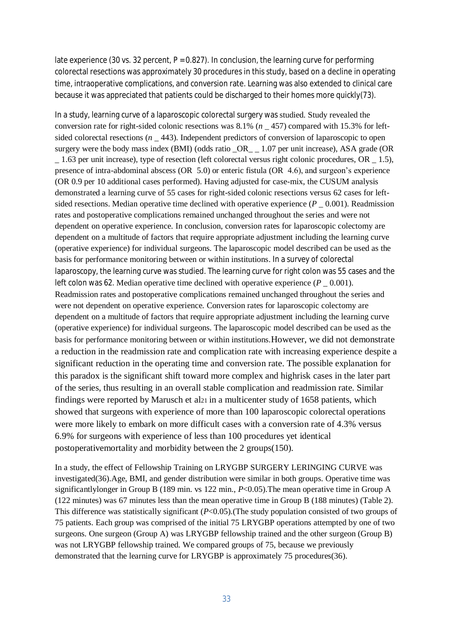late experience (30 vs. 32 percent,  $P = 0.827$ ). In conclusion, the learning curve for performing colorectal resections was approximately 30 procedures in this study, based on a decline in operating time, intraoperative complications, and conversion rate. Learning was also extended to clinical care because it was appreciated that patients could be discharged to their homes more quickly(73).

In a study, learning curve of a laparoscopic colorectal surgery was studied. Study revealed the conversion rate for right-sided colonic resections was 8.1% (*n* \_ 457) compared with 15.3% for leftsided colorectal resections (*n*  $\alpha$  443). Independent predictors of conversion of laparoscopic to open surgery were the body mass index (BMI) (odds ratio  $\text{OR}_{-}$  1.07 per unit increase), ASA grade (OR \_ 1.63 per unit increase), type of resection (left colorectal versus right colonic procedures, OR \_ 1.5), presence of intra-abdominal abscess (OR 5.0) or enteric fistula (OR 4.6), and surgeon's experience (OR 0.9 per 10 additional cases performed). Having adjusted for case-mix, the CUSUM analysis demonstrated a learning curve of 55 cases for right-sided colonic resections versus 62 cases for leftsided resections. Median operative time declined with operative experience (*P* \_ 0.001). Readmission rates and postoperative complications remained unchanged throughout the series and were not dependent on operative experience. In conclusion, conversion rates for laparoscopic colectomy are dependent on a multitude of factors that require appropriate adjustment including the learning curve (operative experience) for individual surgeons. The laparoscopic model described can be used as the basis for performance monitoring between or within institutions. In a survey of colorectal laparoscopy, the learning curve was studied. The learning curve for right colon was 55 cases and the left colon was 62. Median operative time declined with operative experience (*P* \_ 0.001). Readmission rates and postoperative complications remained unchanged throughout the series and were not dependent on operative experience. Conversion rates for laparoscopic colectomy are dependent on a multitude of factors that require appropriate adjustment including the learning curve (operative experience) for individual surgeons. The laparoscopic model described can be used as the basis for performance monitoring between or within institutions.However, we did not demonstrate a reduction in the readmission rate and complication rate with increasing experience despite a significant reduction in the operating time and conversion rate. The possible explanation for this paradox is the significant shift toward more complex and highrisk cases in the later part of the series, thus resulting in an overall stable complication and readmission rate. Similar findings were reported by Marusch et al21 in a multicenter study of 1658 patients, which showed that surgeons with experience of more than 100 laparoscopic colorectal operations were more likely to embark on more difficult cases with a conversion rate of 4.3% versus 6.9% for surgeons with experience of less than 100 procedures yet identical postoperativemortality and morbidity between the 2 groups(150).

In a study, the effect of Fellowship Training on LRYGBP SURGERY LERINGING CURVE was investigated(36).Age, BMI, and gender distribution were similar in both groups. Operative time was significantlylonger in Group B (189 min. vs 122 min., *P*<0.05).The mean operative time in Group A (122 minutes) was 67 minutes less than the mean operative time in Group B (188 minutes) (Table 2). This difference was statistically significant (*P*<0.05).(The study population consisted of two groups of 75 patients. Each group was comprised of the initial 75 LRYGBP operations attempted by one of two surgeons. One surgeon (Group A) was LRYGBP fellowship trained and the other surgeon (Group B) was not LRYGBP fellowship trained. We compared groups of 75, because we previously demonstrated that the learning curve for LRYGBP is approximately 75 procedures(36).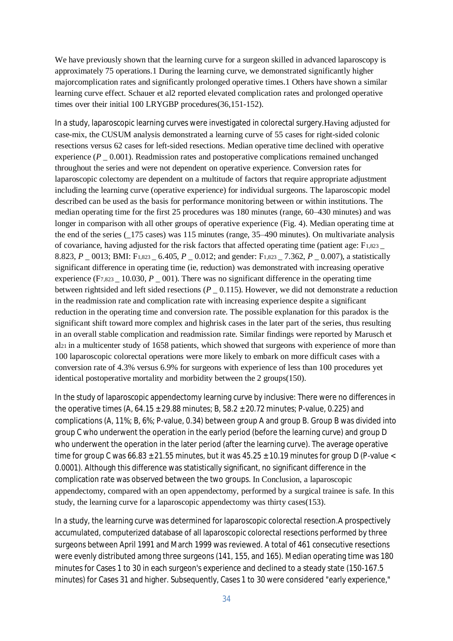We have previously shown that the learning curve for a surgeon skilled in advanced laparoscopy is approximately 75 operations.1 During the learning curve, we demonstrated significantly higher majorcomplication rates and significantly prolonged operative times.1 Others have shown a similar learning curve effect. Schauer et al2 reported elevated complication rates and prolonged operative times over their initial 100 LRYGBP procedures(36,151-152).

In a study, laparoscopic learning curves were investigated in colorectal surgery.Having adjusted for case-mix, the CUSUM analysis demonstrated a learning curve of 55 cases for right-sided colonic resections versus 62 cases for left-sided resections. Median operative time declined with operative experience (*P* 0.001). Readmission rates and postoperative complications remained unchanged throughout the series and were not dependent on operative experience. Conversion rates for laparoscopic colectomy are dependent on a multitude of factors that require appropriate adjustment including the learning curve (operative experience) for individual surgeons. The laparoscopic model described can be used as the basis for performance monitoring between or within institutions. The median operating time for the first 25 procedures was 180 minutes (range, 60–430 minutes) and was longer in comparison with all other groups of operative experience (Fig. 4). Median operating time at the end of the series (\_175 cases) was 115 minutes (range, 35–490 minutes). On multivariate analysis of covariance, having adjusted for the risk factors that affected operating time (patient age: F1,823 \_ 8.823, *P* 0013; BMI: F<sub>1,823</sub> 6.405, *P* 0.012; and gender: F<sub>1,823</sub> 7.362, *P* 0.007), a statistically significant difference in operating time (ie, reduction) was demonstrated with increasing operative experience (F<sub>7,823</sub>  $\pm$  10.030, *P*  $\pm$  001). There was no significant difference in the operating time between rightsided and left sided resections (*P* \_ 0.115). However, we did not demonstrate a reduction in the readmission rate and complication rate with increasing experience despite a significant reduction in the operating time and conversion rate. The possible explanation for this paradox is the significant shift toward more complex and highrisk cases in the later part of the series, thus resulting in an overall stable complication and readmission rate. Similar findings were reported by Marusch et al21 in a multicenter study of 1658 patients, which showed that surgeons with experience of more than 100 laparoscopic colorectal operations were more likely to embark on more difficult cases with a conversion rate of 4.3% versus 6.9% for surgeons with experience of less than 100 procedures yet identical postoperative mortality and morbidity between the 2 groups(150).

In the study of laparoscopic appendectomy learning curve by inclusive: There were no differences in the operative times (A,  $64.15 \pm 29.88$  minutes; B,  $58.2 \pm 20.72$  minutes; P-value, 0.225) and complications (A, 11%; B, 6%; P-value, 0.34) between group A and group B. Group B was divided into group C who underwent the operation in the early period (before the learning curve) and group D who underwent the operation in the later period (after the learning curve). The average operative time for group C was  $66.83 \pm 21.55$  minutes, but it was  $45.25 \pm 10.19$  minutes for group D (P-value < 0.0001). Although this difference was statistically significant, no significant difference in the complication rate was observed between the two groups. In Conclusion, a laparoscopic appendectomy, compared with an open appendectomy, performed by a surgical trainee is safe. In this study, the learning curve for a laparoscopic appendectomy was thirty cases(153).

In a study, the learning curve was determined for laparoscopic colorectal resection.A prospectively accumulated, computerized database of all laparoscopic colorectal resections performed by three surgeons between April 1991 and March 1999 was reviewed. A total of 461 consecutive resections were evenly distributed among three surgeons (141, 155, and 165). Median operating time was 180 minutes for Cases 1 to 30 in each surgeon's experience and declined to a steady state (150-167.5 minutes) for Cases 31 and higher. Subsequently, Cases 1 to 30 were considered "early experience,"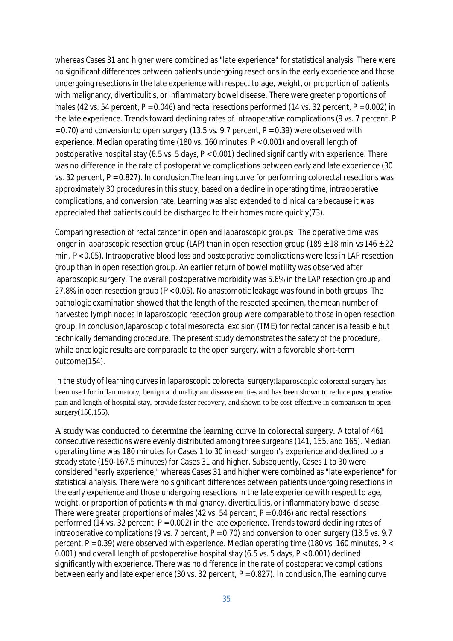whereas Cases 31 and higher were combined as "late experience" for statistical analysis. There were no significant differences between patients undergoing resections in the early experience and those undergoing resections in the late experience with respect to age, weight, or proportion of patients with malignancy, diverticulitis, or inflammatory bowel disease. There were greater proportions of males (42 vs. 54 percent,  $P = 0.046$ ) and rectal resections performed (14 vs. 32 percent,  $P = 0.002$ ) in the late experience. Trends toward declining rates of intraoperative complications (9 vs. 7 percent, P  $= 0.70$ ) and conversion to open surgery (13.5 vs. 9.7 percent, P  $= 0.39$ ) were observed with experience. Median operating time (180 vs. 160 minutes, P < 0.001) and overall length of postoperative hospital stay (6.5 vs. 5 days, P < 0.001) declined significantly with experience. There was no difference in the rate of postoperative complications between early and late experience (30 vs. 32 percent, P = 0.827). In conclusion,The learning curve for performing colorectal resections was approximately 30 procedures in this study, based on a decline in operating time, intraoperative complications, and conversion rate. Learning was also extended to clinical care because it was appreciated that patients could be discharged to their homes more quickly(73).

Comparing resection of rectal cancer in open and laparoscopic groups: The operative time was longer in laparoscopic resection group (LAP) than in open resection group (189 ± 18 min *vs* 146 ± 22 min, *P* < 0.05). Intraoperative blood loss and postoperative complications were less in LAP resection group than in open resection group. An earlier return of bowel motility was observed after laparoscopic surgery. The overall postoperative morbidity was 5.6% in the LAP resection group and 27.8% in open resection group (*P* < 0.05). No anastomotic leakage was found in both groups. The pathologic examination showed that the length of the resected specimen, the mean number of harvested lymph nodes in laparoscopic resection group were comparable to those in open resection group. In conclusion,laparoscopic total mesorectal excision (TME) for rectal cancer is a feasible but technically demanding procedure. The present study demonstrates the safety of the procedure, while oncologic results are comparable to the open surgery, with a favorable short-term outcome(154).

In the study of learning curves in laparoscopic colorectal surgery:laparoscopic colorectal surgery has been used for inflammatory, benign and malignant disease entities and has been shown to reduce postoperative pain and length of hospital stay, provide faster recovery, and shown to be cost-effective in comparison to open surgery(150,155).

A study was conducted to determine the learning curve in colorectal surgery. A total of 461 consecutive resections were evenly distributed among three surgeons (141, 155, and 165). Median operating time was 180 minutes for Cases 1 to 30 in each surgeon's experience and declined to a steady state (150-167.5 minutes) for Cases 31 and higher. Subsequently, Cases 1 to 30 were considered "early experience," whereas Cases 31 and higher were combined as "late experience" for statistical analysis. There were no significant differences between patients undergoing resections in the early experience and those undergoing resections in the late experience with respect to age, weight, or proportion of patients with malignancy, diverticulitis, or inflammatory bowel disease. There were greater proportions of males (42 vs. 54 percent,  $P = 0.046$ ) and rectal resections performed (14 vs. 32 percent, P = 0.002) in the late experience. Trends toward declining rates of intraoperative complications (9 vs. 7 percent,  $P = 0.70$ ) and conversion to open surgery (13.5 vs. 9.7 percent,  $P = 0.39$ ) were observed with experience. Median operating time (180 vs. 160 minutes,  $P <$ 0.001) and overall length of postoperative hospital stay (6.5 vs. 5 days, P < 0.001) declined significantly with experience. There was no difference in the rate of postoperative complications between early and late experience (30 vs. 32 percent, P = 0.827). In conclusion,The learning curve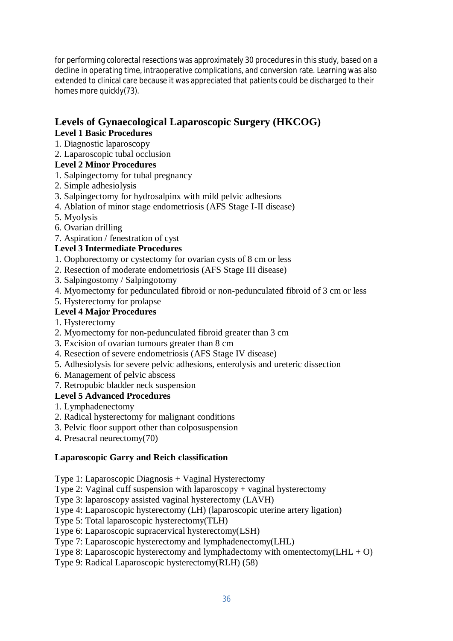for performing colorectal resections was approximately 30 procedures in this study, based on a decline in operating time, intraoperative complications, and conversion rate. Learning was also extended to clinical care because it was appreciated that patients could be discharged to their homes more quickly(73).

## **Levels of Gynaecological Laparoscopic Surgery (HKCOG)**

## **Level 1 Basic Procedures**

## 1. Diagnostic laparoscopy

2. Laparoscopic tubal occlusion

## **Level 2 Minor Procedures**

- 1. Salpingectomy for tubal pregnancy
- 2. Simple adhesiolysis
- 3. Salpingectomy for hydrosalpinx with mild pelvic adhesions
- 4. Ablation of minor stage endometriosis (AFS Stage I-II disease)
- 5. Myolysis
- 6. Ovarian drilling
- 7. Aspiration / fenestration of cyst

## **Level 3 Intermediate Procedures**

- 1. Oophorectomy or cystectomy for ovarian cysts of 8 cm or less
- 2. Resection of moderate endometriosis (AFS Stage III disease)
- 3. Salpingostomy / Salpingotomy
- 4. Myomectomy for pedunculated fibroid or non-pedunculated fibroid of 3 cm or less
- 5. Hysterectomy for prolapse

## **Level 4 Major Procedures**

- 1. Hysterectomy
- 2. Myomectomy for non-pedunculated fibroid greater than 3 cm
- 3. Excision of ovarian tumours greater than 8 cm
- 4. Resection of severe endometriosis (AFS Stage IV disease)
- 5. Adhesiolysis for severe pelvic adhesions, enterolysis and ureteric dissection
- 6. Management of pelvic abscess
- 7. Retropubic bladder neck suspension

#### **Level 5 Advanced Procedures**

- 1. Lymphadenectomy
- 2. Radical hysterectomy for malignant conditions
- 3. Pelvic floor support other than colposuspension
- 4. Presacral neurectomy(70)

## **Laparoscopic Garry and Reich classification**

Type 1: Laparoscopic Diagnosis + Vaginal Hysterectomy

- Type 2: Vaginal cuff suspension with laparoscopy + vaginal hysterectomy
- Type 3: laparoscopy assisted vaginal hysterectomy (LAVH)
- Type 4: Laparoscopic hysterectomy (LH) (laparoscopic uterine artery ligation)
- Type 5: Total laparoscopic hysterectomy(TLH)
- Type 6: Laparoscopic supracervical hysterectomy(LSH)
- Type 7: Laparoscopic hysterectomy and lymphadenectomy(LHL)
- Type 8: Laparoscopic hysterectomy and lymphadectomy with omentectomy( $LHL + O$ )
- Type 9: Radical Laparoscopic hysterectomy(RLH) (58)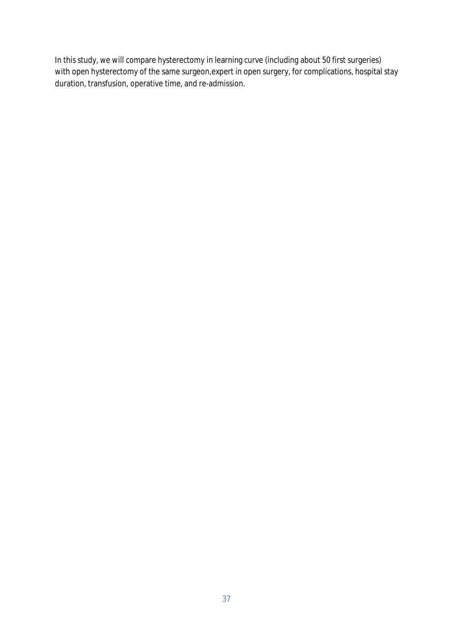In this study, we will compare hysterectomy in learning curve (including about 50 first surgeries) with open hysterectomy of the same surgeon,expert in open surgery, for complications, hospital stay duration, transfusion, operative time, and re-admission.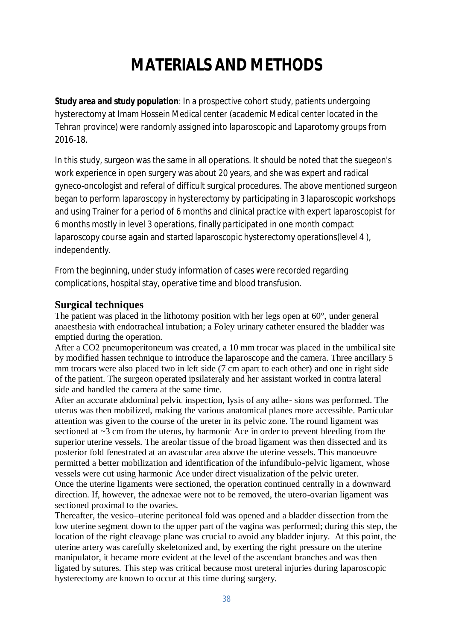# **MATERIALS AND METHODS**

**Study area and study population**: In a prospective cohort study, patients undergoing hysterectomy at Imam Hossein Medical center (academic Medical center located in the Tehran province) were randomly assigned into laparoscopic and Laparotomy groups from 2016-18.

In this study, surgeon was the same in all operations. It should be noted that the suegeon's work experience in open surgery was about 20 years, and she was expert and radical gyneco-oncologist and referal of difficult surgical procedures. The above mentioned surgeon began to perform laparoscopy in hysterectomy by participating in 3 laparoscopic workshops and using Trainer for a period of 6 months and clinical practice with expert laparoscopist for 6 months mostly in level 3 operations, finally participated in one month compact laparoscopy course again and started laparoscopic hysterectomy operations(level 4 ), independently.

From the beginning, under study information of cases were recorded regarding complications, hospital stay, operative time and blood transfusion.

## **Surgical techniques**

The patient was placed in the lithotomy position with her legs open at 60°, under general anaesthesia with endotracheal intubation; a Foley urinary catheter ensured the bladder was emptied during the operation.

After a CO2 pneumoperitoneum was created, a 10 mm trocar was placed in the umbilical site by modified hassen technique to introduce the laparoscope and the camera. Three ancillary 5 mm trocars were also placed two in left side (7 cm apart to each other) and one in right side of the patient. The surgeon operated ipsilateraly and her assistant worked in contra lateral side and handled the camera at the same time.

After an accurate abdominal pelvic inspection, lysis of any adhe- sions was performed. The uterus was then mobilized, making the various anatomical planes more accessible. Particular attention was given to the course of the ureter in its pelvic zone. The round ligament was sectioned at ~3 cm from the uterus, by harmonic Ace in order to prevent bleeding from the superior uterine vessels. The areolar tissue of the broad ligament was then dissected and its posterior fold fenestrated at an avascular area above the uterine vessels. This manoeuvre permitted a better mobilization and identification of the infundibulo-pelvic ligament, whose vessels were cut using harmonic Ace under direct visualization of the pelvic ureter. Once the uterine ligaments were sectioned, the operation continued centrally in a downward direction. If, however, the adnexae were not to be removed, the utero-ovarian ligament was sectioned proximal to the ovaries.

Thereafter, the vesico–uterine peritoneal fold was opened and a bladder dissection from the low uterine segment down to the upper part of the vagina was performed; during this step, the location of the right cleavage plane was crucial to avoid any bladder injury. At this point, the uterine artery was carefully skeletonized and, by exerting the right pressure on the uterine manipulator, it became more evident at the level of the ascendant branches and was then ligated by sutures. This step was critical because most ureteral injuries during laparoscopic hysterectomy are known to occur at this time during surgery.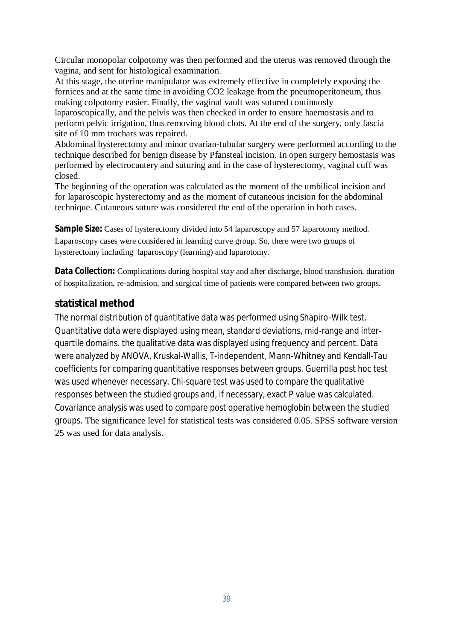Circular monopolar colpotomy was then performed and the uterus was removed through the vagina, and sent for histological examination.

At this stage, the uterine manipulator was extremely effective in completely exposing the fornices and at the same time in avoiding CO2 leakage from the pneumoperitoneum, thus making colpotomy easier. Finally, the vaginal vault was sutured continuosly

laparoscopically, and the pelvis was then checked in order to ensure haemostasis and to perform pelvic irrigation, thus removing blood clots. At the end of the surgery, only fascia site of 10 mm trochars was repaired.

Abdominal hysterectomy and minor ovarian-tubular surgery were performed according to the technique described for benign disease by Pfansteal incision. In open surgery hemostasis was performed by electrocautery and suturing and in the case of hysterectomy, vaginal cuff was closed.

The beginning of the operation was calculated as the moment of the umbilical incision and for laparoscopic hysterectomy and as the moment of cutaneous incision for the abdominal technique. Cutaneous suture was considered the end of the operation in both cases.

**Sample Size:** Cases of hysterectomy divided into 54 laparoscopy and 57 laparotomy method. Laparoscopy cases were considered in learning curve group. So, there were two groups of hysterectomy including laparoscopy (learning) and laparotomy.

**Data Collection:** Complications during hospital stay and after discharge, blood transfusion, duration of hospitalization, re-admision, and surgical time of patients were compared between two groups.

## **statistical method**

The normal distribution of quantitative data was performed using Shapiro-Wilk test. Quantitative data were displayed using mean, standard deviations, mid-range and interquartile domains. the qualitative data was displayed using frequency and percent. Data were analyzed by ANOVA, Kruskal-Wallis, T-independent, Mann-Whitney and Kendall-Tau coefficients for comparing quantitative responses between groups. Guerrilla post hoc test was used whenever necessary. Chi-square test was used to compare the qualitative responses between the studied groups and, if necessary, exact P value was calculated. Covariance analysis was used to compare post operative hemoglobin between the studied groups. The significance level for statistical tests was considered 0.05. SPSS software version 25 was used for data analysis.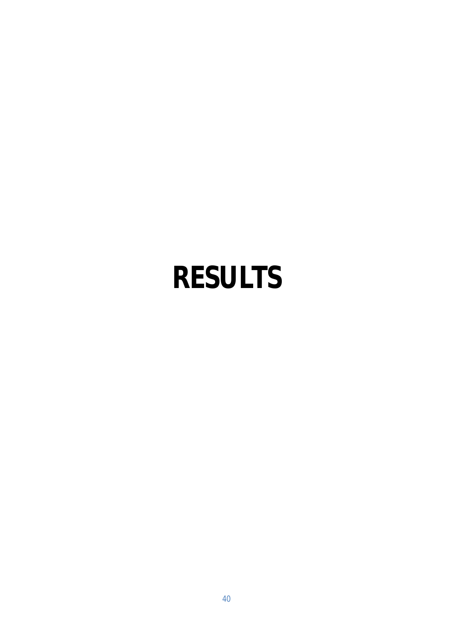# **RESULTS**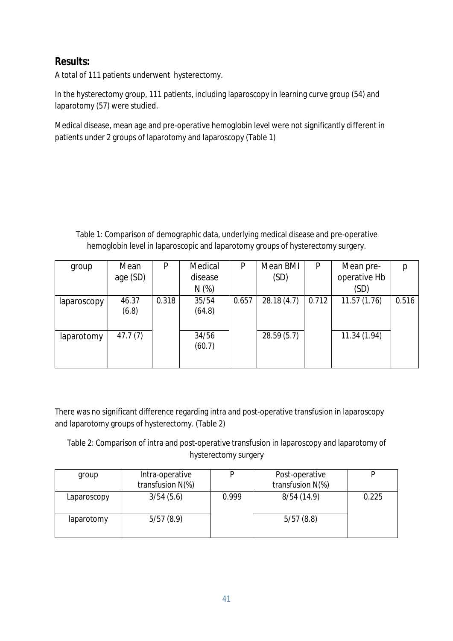## **Results:**

A total of 111 patients underwent hysterectomy.

In the hysterectomy group, 111 patients, including laparoscopy in learning curve group (54) and laparotomy (57) were studied.

Medical disease, mean age and pre-operative hemoglobin level were not significantly different in patients under 2 groups of laparotomy and laparoscopy (Table 1)

Table 1: Comparison of demographic data, underlying medical disease and pre-operative hemoglobin level in laparoscopic and laparotomy groups of hysterectomy surgery.

| Mean     | P     | Medical | P     | Mean BMI   | P     | Mean pre-    | p     |
|----------|-------|---------|-------|------------|-------|--------------|-------|
| age (SD) |       | disease |       | (SD)       |       | operative Hb |       |
|          |       | N(%)    |       |            |       | (SD)         |       |
| 46.37    | 0.318 | 35/54   | 0.657 | 28.18(4.7) | 0.712 | 11.57(1.76)  | 0.516 |
| (6.8)    |       | (64.8)  |       |            |       |              |       |
|          |       |         |       |            |       |              |       |
| 47.7(7)  |       | 34/56   |       | 28.59(5.7) |       | 11.34 (1.94) |       |
|          |       | (60.7)  |       |            |       |              |       |
|          |       |         |       |            |       |              |       |
|          |       |         |       |            |       |              |       |

There was no significant difference regarding intra and post-operative transfusion in laparoscopy and laparotomy groups of hysterectomy. (Table 2)

Table 2: Comparison of intra and post-operative transfusion in laparoscopy and laparotomy of hysterectomy surgery

| group       | Intra-operative<br>transfusion $N(\%)$ |       | Post-operative<br>transfusion $N(\%)$ |       |
|-------------|----------------------------------------|-------|---------------------------------------|-------|
| Laparoscopy | 3/54(5.6)                              | 0.999 | 8/54(14.9)                            | 0.225 |
| laparotomy  | 5/57(8.9)                              |       | 5/57(8.8)                             |       |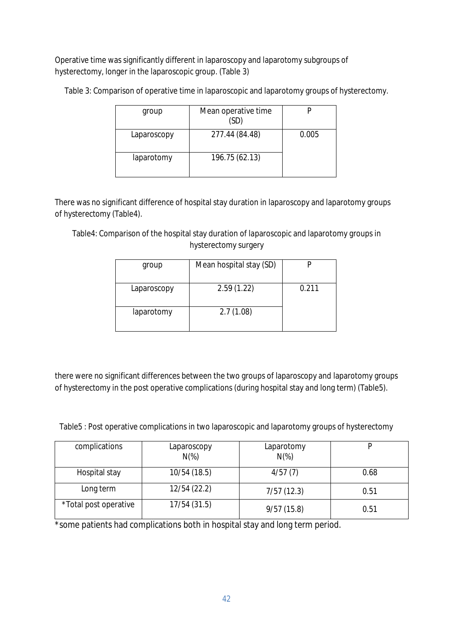Operative time was significantly different in laparoscopy and laparotomy subgroups of hysterectomy, longer in the laparoscopic group. (Table 3)

Table 3: Comparison of operative time in laparoscopic and laparotomy groups of hysterectomy.

| group       | Mean operative time<br>(SD) |       |
|-------------|-----------------------------|-------|
| Laparoscopy | 277.44 (84.48)              | 0.005 |
| laparotomy  | 196.75 (62.13)              |       |

There was no significant difference of hospital stay duration in laparoscopy and laparotomy groups of hysterectomy (Table4).

Table4: Comparison of the hospital stay duration of laparoscopic and laparotomy groups in hysterectomy surgery

| group       | Mean hospital stay (SD) |       |
|-------------|-------------------------|-------|
| Laparoscopy | 2.59(1.22)              | 0.211 |
| laparotomy  | 2.7(1.08)               |       |

there were no significant differences between the two groups of laparoscopy and laparotomy groups of hysterectomy in the post operative complications (during hospital stay and long term) (Table5).

Table5 : Post operative complications in two laparoscopic and laparotomy groups of hysterectomy

| complications         | Laparoscopy<br>$N(\%)$ | Laparotomy<br>$N(\%)$ |      |
|-----------------------|------------------------|-----------------------|------|
| Hospital stay         | 10/54 (18.5)           | 4/57(7)               | 0.68 |
| Long term             | 12/54 (22.2)           | 7/57(12.3)            | 0.51 |
| *Total post operative | 17/54(31.5)            | 9/57(15.8)            | 0.51 |

\*some patients had complications both in hospital stay and long term period.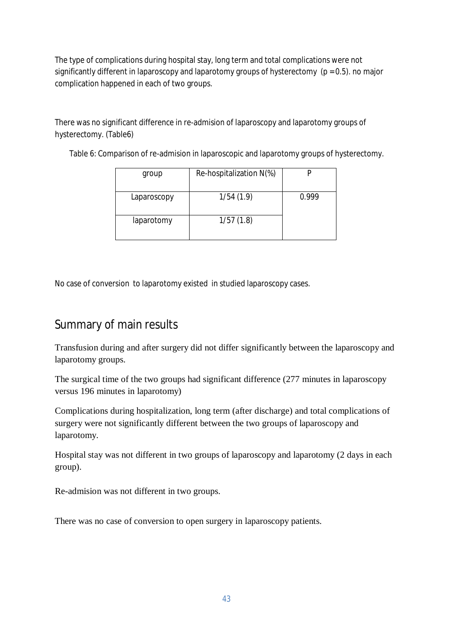The type of complications during hospital stay, long term and total complications were not significantly different in laparoscopy and laparotomy groups of hysterectomy ( $p = 0.5$ ). no major complication happened in each of two groups.

There was no significant difference in re-admision of laparoscopy and laparotomy groups of hysterectomy. (Table6)

| group       | Re-hospitalization N(%) |       |
|-------------|-------------------------|-------|
| Laparoscopy | 1/54(1.9)               | 0.999 |
| laparotomy  | 1/57(1.8)               |       |

Table 6: Comparison of re-admision in laparoscopic and laparotomy groups of hysterectomy.

No case of conversion to laparotomy existed in studied laparoscopy cases.

## Summary of main results

Transfusion during and after surgery did not differ significantly between the laparoscopy and laparotomy groups.

The surgical time of the two groups had significant difference (277 minutes in laparoscopy versus 196 minutes in laparotomy)

Complications during hospitalization, long term (after discharge) and total complications of surgery were not significantly different between the two groups of laparoscopy and laparotomy.

Hospital stay was not different in two groups of laparoscopy and laparotomy (2 days in each group).

Re-admision was not different in two groups.

There was no case of conversion to open surgery in laparoscopy patients.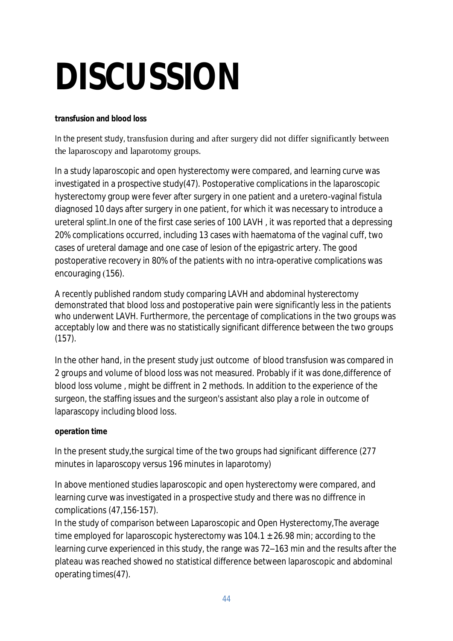# **DISCUSSION**

**transfusion and blood loss**

In the present study, transfusion during and after surgery did not differ significantly between the laparoscopy and laparotomy groups.

In a study laparoscopic and open hysterectomy were compared, and learning curve was investigated in a prospective study(47). Postoperative complications in the laparoscopic hysterectomy group were fever after surgery in one patient and a uretero-vaginal fistula diagnosed 10 days after surgery in one patient, for which it was necessary to introduce a ureteral splint.In one of the first case series of 100 LAVH , it was reported that a depressing 20% complications occurred, including 13 cases with haematoma of the vaginal cuff, two cases of ureteral damage and one case of lesion of the epigastric artery. The good postoperative recovery in 80% of the patients with no intra-operative complications was encouraging (156).

A recently published random study comparing LAVH and abdominal hysterectomy demonstrated that blood loss and postoperative pain were significantly less in the patients who underwent LAVH. Furthermore, the percentage of complications in the two groups was acceptably low and there was no statistically significant difference between the two groups (157).

In the other hand, in the present study just outcome of blood transfusion was compared in 2 groups and volume of blood loss was not measured. Probably if it was done,difference of blood loss volume , might be diffrent in 2 methods. In addition to the experience of the surgeon, the staffing issues and the surgeon's assistant also play a role in outcome of laparascopy including blood loss.

## **operation time**

In the present study,the surgical time of the two groups had significant difference (277 minutes in laparoscopy versus 196 minutes in laparotomy)

In above mentioned studies laparoscopic and open hysterectomy were compared, and learning curve was investigated in a prospective study and there was no diffrence in complications (47,156-157).

In the study of comparison between Laparoscopic and Open Hysterectomy,The average time employed for laparoscopic hysterectomy was  $104.1 \pm 26.98$  min; according to the learning curve experienced in this study, the range was 72–163 min and the results after the plateau was reached showed no statistical difference between laparoscopic and abdominal operating times(47).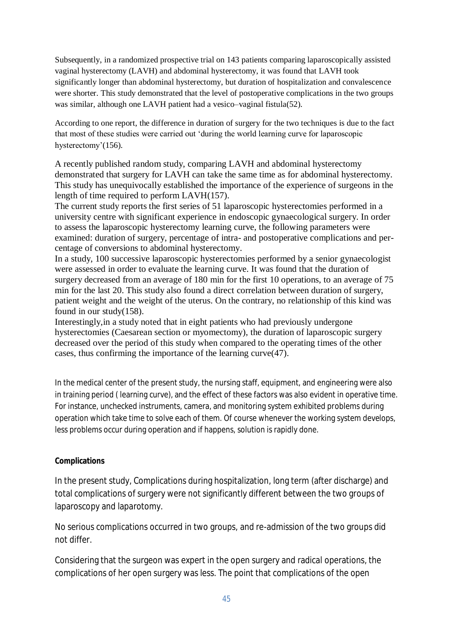Subsequently, in a randomized prospective trial on 143 patients comparing laparoscopically assisted vaginal hysterectomy (LAVH) and abdominal hysterectomy, it was found that LAVH took significantly longer than abdominal hysterectomy, but duration of hospitalization and convalescence were shorter. This study demonstrated that the level of postoperative complications in the two groups was similar, although one LAVH patient had a vesico–vaginal fistula(52).

According to one report, the difference in duration of surgery for the two techniques is due to the fact that most of these studies were carried out 'during the world learning curve for laparoscopic hysterectomy'(156).

A recently published random study, comparing LAVH and abdominal hysterectomy demonstrated that surgery for LAVH can take the same time as for abdominal hysterectomy. This study has unequivocally established the importance of the experience of surgeons in the length of time required to perform LAVH(157).

The current study reports the first series of 51 laparoscopic hysterectomies performed in a university centre with significant experience in endoscopic gynaecological surgery. In order to assess the laparoscopic hysterectomy learning curve, the following parameters were examined: duration of surgery, percentage of intra- and postoperative complications and percentage of conversions to abdominal hysterectomy.

In a study, 100 successive laparoscopic hysterectomies performed by a senior gynaecologist were assessed in order to evaluate the learning curve. It was found that the duration of surgery decreased from an average of 180 min for the first 10 operations, to an average of 75 min for the last 20. This study also found a direct correlation between duration of surgery, patient weight and the weight of the uterus. On the contrary, no relationship of this kind was found in our study(158).

Interestingly,in a study noted that in eight patients who had previously undergone hysterectomies (Caesarean section or myomectomy), the duration of laparoscopic surgery decreased over the period of this study when compared to the operating times of the other cases, thus confirming the importance of the learning curve(47).

In the medical center of the present study, the nursing staff, equipment, and engineering were also in training period ( learning curve), and the effect of these factors was also evident in operative time. For instance, unchecked instruments, camera, and monitoring system exhibited problems during operation which take time to solve each of them. Of course whenever the working system develops, less problems occur during operation and if happens, solution is rapidly done.

#### **Complications**

In the present study, Complications during hospitalization, long term (after discharge) and total complications of surgery were not significantly different between the two groups of laparoscopy and laparotomy.

No serious complications occurred in two groups, and re-admission of the two groups did not differ.

Considering that the surgeon was expert in the open surgery and radical operations, the complications of her open surgery was less. The point that complications of the open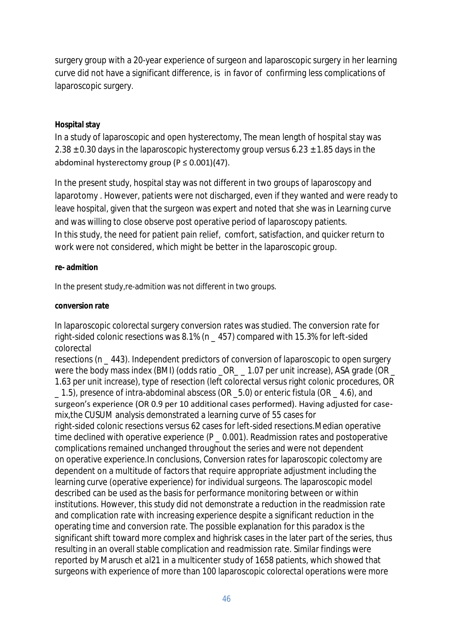surgery group with a 20-year experience of surgeon and laparoscopic surgery in her learning curve did not have a significant difference, is in favor of confirming less complications of laparoscopic surgery.

#### **Hospital stay**

In a study of laparoscopic and open hysterectomy, The mean length of hospital stay was  $2.38 \pm 0.30$  days in the laparoscopic hysterectomy group versus 6.23  $\pm$  1.85 days in the abdominal hysterectomy group ( $P \le 0.001$ )(47).

In the present study, hospital stay was not different in two groups of laparoscopy and laparotomy . However, patients were not discharged, even if they wanted and were ready to leave hospital, given that the surgeon was expert and noted that she was in Learning curve and was willing to close observe post operative period of laparoscopy patients. In this study, the need for patient pain relief, comfort, satisfaction, and quicker return to work were not considered, which might be better in the laparoscopic group.

#### **re- admition**

In the present study,re-admition was not different in two groups.

## **conversion rate**

In laparoscopic colorectal surgery conversion rates was studied. The conversion rate for right-sided colonic resections was 8.1% (n \_ 457) compared with 15.3% for left-sided colorectal

resections (n \_ 443). Independent predictors of conversion of laparoscopic to open surgery were the body mass index (BMI) (odds ratio OR = 1.07 per unit increase), ASA grade (OR 1.63 per unit increase), type of resection (left colorectal versus right colonic procedures, OR \_ 1.5), presence of intra-abdominal abscess (OR \_5.0) or enteric fistula (OR \_ 4.6), and surgeon's experience (OR 0.9 per 10 additional cases performed). Having adjusted for casemix,the CUSUM analysis demonstrated a learning curve of 55 cases for right-sided colonic resections versus 62 cases for left-sided resections.Median operative time declined with operative experience (P = 0.001). Readmission rates and postoperative complications remained unchanged throughout the series and were not dependent on operative experience.In conclusions, Conversion rates for laparoscopic colectomy are dependent on a multitude of factors that require appropriate adjustment including the learning curve (operative experience) for individual surgeons. The laparoscopic model described can be used as the basis for performance monitoring between or within institutions. However, this study did not demonstrate a reduction in the readmission rate and complication rate with increasing experience despite a significant reduction in the operating time and conversion rate. The possible explanation for this paradox is the significant shift toward more complex and highrisk cases in the later part of the series, thus resulting in an overall stable complication and readmission rate. Similar findings were reported by Marusch et al21 in a multicenter study of 1658 patients, which showed that surgeons with experience of more than 100 laparoscopic colorectal operations were more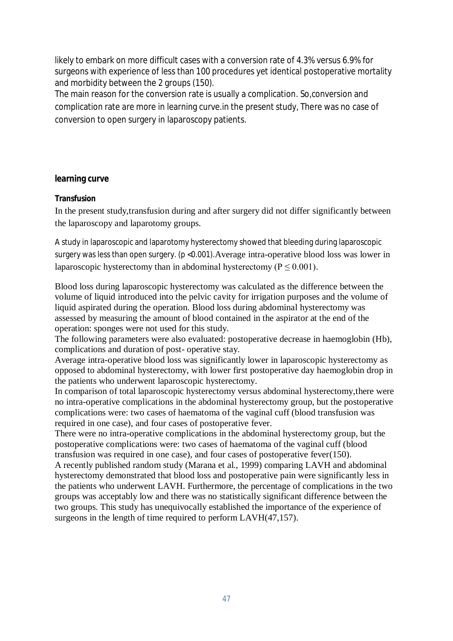likely to embark on more difficult cases with a conversion rate of 4.3% versus 6.9% for surgeons with experience of less than 100 procedures yet identical postoperative mortality and morbidity between the 2 groups (150).

The main reason for the conversion rate is usually a complication. So,conversion and complication rate are more in learning curve.in the present study, There was no case of conversion to open surgery in laparoscopy patients.

**learning curve**

## **Transfusion**

In the present study,transfusion during and after surgery did not differ significantly between the laparoscopy and laparotomy groups.

A study in laparoscopic and laparotomy hysterectomy showed that bleeding during laparoscopic surgery was less than open surgery. (p <0.001).Average intra-operative blood loss was lower in laparoscopic hysterectomy than in abdominal hysterectomy ( $P \le 0.001$ ).

Blood loss during laparoscopic hysterectomy was calculated as the difference between the volume of liquid introduced into the pelvic cavity for irrigation purposes and the volume of liquid aspirated during the operation. Blood loss during abdominal hysterectomy was assessed by measuring the amount of blood contained in the aspirator at the end of the operation: sponges were not used for this study.

The following parameters were also evaluated: postoperative decrease in haemoglobin (Hb), complications and duration of post- operative stay.

Average intra-operative blood loss was significantly lower in laparoscopic hysterectomy as opposed to abdominal hysterectomy, with lower first postoperative day haemoglobin drop in the patients who underwent laparoscopic hysterectomy.

In comparison of total laparoscopic hysterectomy versus abdominal hysterectomy,there were no intra-operative complications in the abdominal hysterectomy group, but the postoperative complications were: two cases of haematoma of the vaginal cuff (blood transfusion was required in one case), and four cases of postoperative fever.

There were no intra-operative complications in the abdominal hysterectomy group, but the postoperative complications were: two cases of haematoma of the vaginal cuff (blood transfusion was required in one case), and four cases of postoperative fever(150).

A recently published random study (Marana et al., 1999) comparing LAVH and abdominal hysterectomy demonstrated that blood loss and postoperative pain were significantly less in the patients who underwent LAVH. Furthermore, the percentage of complications in the two groups was acceptably low and there was no statistically significant difference between the two groups. This study has unequivocally established the importance of the experience of surgeons in the length of time required to perform LAVH(47,157).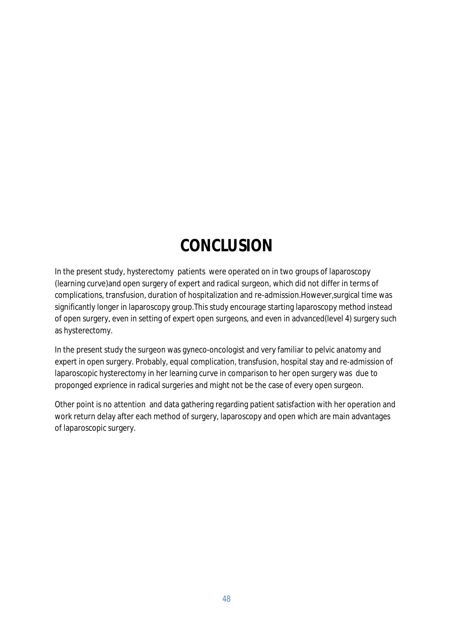# **CONCLUSION**

In the present study, hysterectomy patients were operated on in two groups of laparoscopy (learning curve)and open surgery of expert and radical surgeon, which did not differ in terms of complications, transfusion, duration of hospitalization and re-admission.However,surgical time was significantly longer in laparoscopy group.This study encourage starting laparoscopy method instead of open surgery, even in setting of expert open surgeons, and even in advanced(level 4) surgery such as hysterectomy.

In the present study the surgeon was gyneco-oncologist and very familiar to pelvic anatomy and expert in open surgery. Probably, equal complication, transfusion, hospital stay and re-admission of laparoscopic hysterectomy in her learning curve in comparison to her open surgery was due to proponged exprience in radical surgeries and might not be the case of every open surgeon.

Other point is no attention and data gathering regarding patient satisfaction with her operation and work return delay after each method of surgery, laparoscopy and open which are main advantages of laparoscopic surgery.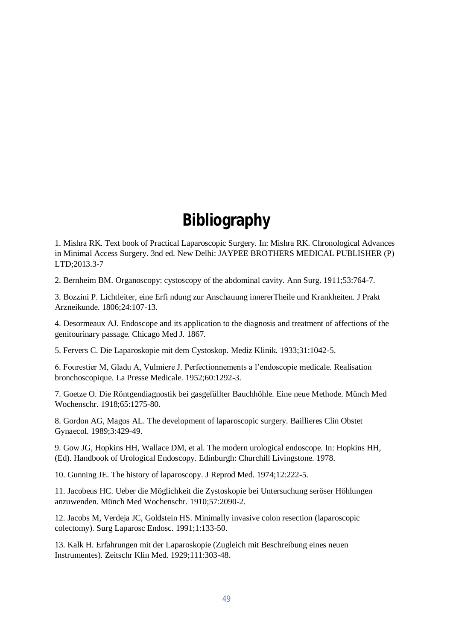# **Bibliography**

1. Mishra RK. Text book of Practical Laparoscopic Surgery. In: Mishra RK. Chronological Advances in Minimal Access Surgery. 3nd ed. New Delhi: JAYPEE BROTHERS MEDICAL PUBLISHER (P) LTD;2013.3-7

2. Bernheim BM. Organoscopy: cystoscopy of the abdominal cavity. Ann Surg. 1911;53:764-7.

3. Bozzini P. Lichtleiter, eine Erfi ndung zur Anschauung innererTheile und Krankheiten. J Prakt Arzneikunde. 1806;24:107-13.

4. Desormeaux AJ. Endoscope and its application to the diagnosis and treatment of affections of the genitourinary passage. Chicago Med J. 1867.

5. Fervers C. Die Laparoskopie mit dem Cystoskop. Mediz Klinik. 1933;31:1042-5.

6. Fourestier M, Gladu A, Vulmiere J. Perfectionnements a l'endoscopie medicale. Realisation bronchoscopique. La Presse Medicale. 1952;60:1292-3.

7. Goetze O. Die Röntgendiagnostik bei gasgefüllter Bauchhöhle. Eine neue Methode. Münch Med Wochenschr. 1918;65:1275-80.

8. Gordon AG, Magos AL. The development of laparoscopic surgery. Baillieres Clin Obstet Gynaecol. 1989;3:429-49.

9. Gow JG, Hopkins HH, Wallace DM, et al. The modern urological endoscope. In: Hopkins HH, (Ed). Handbook of Urological Endoscopy. Edinburgh: Churchill Livingstone. 1978.

10. Gunning JE. The history of laparoscopy. J Reprod Med. 1974;12:222-5.

11. Jacobeus HC. Ueber die Möglichkeit die Zystoskopie bei Untersuchung seröser Höhlungen anzuwenden. Münch Med Wochenschr. 1910;57:2090-2.

12. Jacobs M, Verdeja JC, Goldstein HS. Minimally invasive colon resection (laparoscopic colectomy). Surg Laparosc Endosc. 1991;1:133-50.

13. Kalk H. Erfahrungen mit der Laparoskopie (Zugleich mit Beschreibung eines neuen Instrumentes). Zeitschr Klin Med. 1929;111:303-48.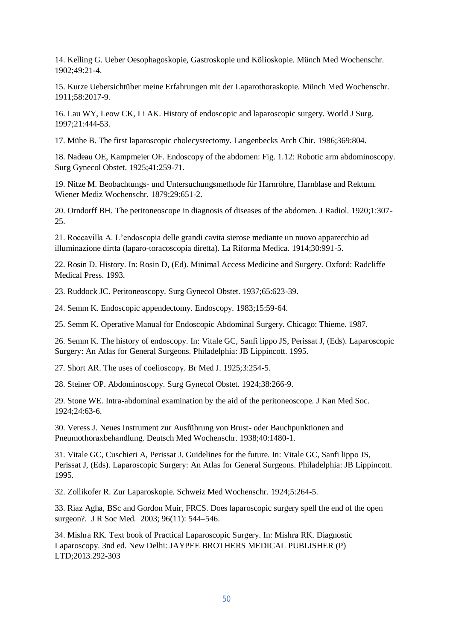14. Kelling G. Ueber Oesophagoskopie, Gastroskopie und Kölioskopie. Münch Med Wochenschr. 1902;49:21-4.

15. Kurze Uebersichtüber meine Erfahrungen mit der Laparothoraskopie. Münch Med Wochenschr. 1911;58:2017-9.

16. Lau WY, Leow CK, Li AK. History of endoscopic and laparoscopic surgery. World J Surg. 1997;21:444-53.

17. Mühe B. The first laparoscopic cholecystectomy. Langenbecks Arch Chir. 1986;369:804.

18. Nadeau OE, Kampmeier OF. Endoscopy of the abdomen: Fig. 1.12: Robotic arm abdominoscopy. Surg Gynecol Obstet. 1925;41:259-71.

19. Nitze M. Beobachtungs- und Untersuchungsmethode für Harnröhre, Harnblase and Rektum. Wiener Mediz Wochenschr. 1879;29:651-2.

20. Orndorff BH. The peritoneoscope in diagnosis of diseases of the abdomen. J Radiol. 1920;1:307- 25.

21. Roccavilla A. L'endoscopia delle grandi cavita sierose mediante un nuovo apparecchio ad illuminazione dirtta (laparo-toracoscopia diretta). La Riforma Medica. 1914;30:991-5.

22. Rosin D. History. In: Rosin D, (Ed). Minimal Access Medicine and Surgery. Oxford: Radcliffe Medical Press. 1993.

23. Ruddock JC. Peritoneoscopy. Surg Gynecol Obstet. 1937;65:623-39.

24. Semm K. Endoscopic appendectomy. Endoscopy. 1983;15:59-64.

25. Semm K. Operative Manual for Endoscopic Abdominal Surgery. Chicago: Thieme. 1987.

26. Semm K. The history of endoscopy. In: Vitale GC, Sanfi lippo JS, Perissat J, (Eds). Laparoscopic Surgery: An Atlas for General Surgeons. Philadelphia: JB Lippincott. 1995.

27. Short AR. The uses of coelioscopy. Br Med J. 1925;3:254-5.

28. Steiner OP. Abdominoscopy. Surg Gynecol Obstet. 1924;38:266-9.

29. Stone WE. Intra-abdominal examination by the aid of the peritoneoscope. J Kan Med Soc. 1924;24:63-6.

30. Veress J. Neues Instrument zur Ausführung von Brust- oder Bauchpunktionen and Pneumothoraxbehandlung. Deutsch Med Wochenschr. 1938;40:1480-1.

31. Vitale GC, Cuschieri A, Perissat J. Guidelines for the future. In: Vitale GC, Sanfi lippo JS, Perissat J, (Eds). Laparoscopic Surgery: An Atlas for General Surgeons. Philadelphia: JB Lippincott. 1995.

32. Zollikofer R. Zur Laparoskopie. Schweiz Med Wochenschr. 1924;5:264-5.

33. Riaz Agha, BSc and Gordon Muir, FRCS. Does laparoscopic surgery spell the end of the open surgeon?. J R Soc Med. 2003; 96(11): 544–546.

34. Mishra RK. Text book of Practical Laparoscopic Surgery. In: Mishra RK. Diagnostic Laparoscopy. 3nd ed. New Delhi: JAYPEE BROTHERS MEDICAL PUBLISHER (P) LTD;2013.292-303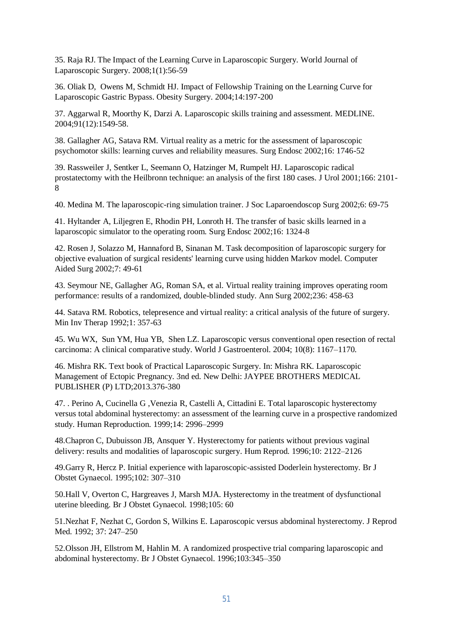35. Raja RJ. The Impact of the Learning Curve in Laparoscopic Surgery. World Journal of Laparoscopic Surgery. 2008;1(1):56-59

36. Oliak D, Owens M, Schmidt HJ. Impact of Fellowship Training on the Learning Curve for Laparoscopic Gastric Bypass. Obesity Surgery. 2004;14:197-200

37. Aggarwal R, Moorthy K, Darzi A. Laparoscopic skills training and assessment. MEDLINE. 2004;91(12):1549-58.

38. Gallagher AG, Satava RM. Virtual reality as a metric for the assessment of laparoscopic psychomotor skills: learning curves and reliability measures. Surg Endosc 2002;16: 1746-52

39. Rassweiler J, Sentker L, Seemann O, Hatzinger M, Rumpelt HJ. Laparoscopic radical prostatectomy with the Heilbronn technique: an analysis of the first 180 cases. J Urol 2001;166: 2101- 8

40. Medina M. The laparoscopic-ring simulation trainer. J Soc Laparoendoscop Surg 2002;6: 69-75

41. Hyltander A, Liljegren E, Rhodin PH, Lonroth H. The transfer of basic skills learned in a laparoscopic simulator to the operating room. Surg Endosc 2002;16: 1324-8

42. Rosen J, Solazzo M, Hannaford B, Sinanan M. Task decomposition of laparoscopic surgery for objective evaluation of surgical residents' learning curve using hidden Markov model. Computer Aided Surg 2002;7: 49-61

43. Seymour NE, Gallagher AG, Roman SA, et al. Virtual reality training improves operating room performance: results of a randomized, double-blinded study. Ann Surg 2002;236: 458-63

44. Satava RM. Robotics, telepresence and virtual reality: a critical analysis of the future of surgery. Min Inv Therap 1992;1: 357-63

45. Wu WX, Sun YM, Hua YB, Shen LZ. Laparoscopic versus conventional open resection of rectal carcinoma: A clinical comparative study. World J Gastroenterol. 2004; 10(8): 1167–1170.

46. Mishra RK. Text book of Practical Laparoscopic Surgery. In: Mishra RK. Laparoscopic Management of Ectopic Pregnancy. 3nd ed. New Delhi: JAYPEE BROTHERS MEDICAL PUBLISHER (P) LTD;2013.376-380

47. . Perino A, Cucinella G ,Venezia R, Castelli A, Cittadini E. Total laparoscopic hysterectomy versus total abdominal hysterectomy: an assessment of the learning curve in a prospective randomized study. Human Reproduction. 1999;14: 2996–2999

48.Chapron C, Dubuisson JB, Ansquer Y. Hysterectomy for patients without previous vaginal delivery: results and modalities of laparoscopic surgery. Hum Reprod. 1996;10: 2122–2126

49.Garry R, Hercz P. Initial experience with laparoscopic-assisted Doderlein hysterectomy. Br J Obstet Gynaecol. 1995;102: 307–310

50.Hall V, Overton C, Hargreaves J, Marsh MJA. Hysterectomy in the treatment of dysfunctional uterine bleeding. Br J Obstet Gynaecol. 1998;105: 60

51.Nezhat F, Nezhat C, Gordon S, Wilkins E. Laparoscopic versus abdominal hysterectomy. J Reprod Med. 1992; 37: 247–250

52.Olsson JH, Ellstrom M, Hahlin M. A randomized prospective trial comparing laparoscopic and abdominal hysterectomy. Br J Obstet Gynaecol. 1996;103:345–350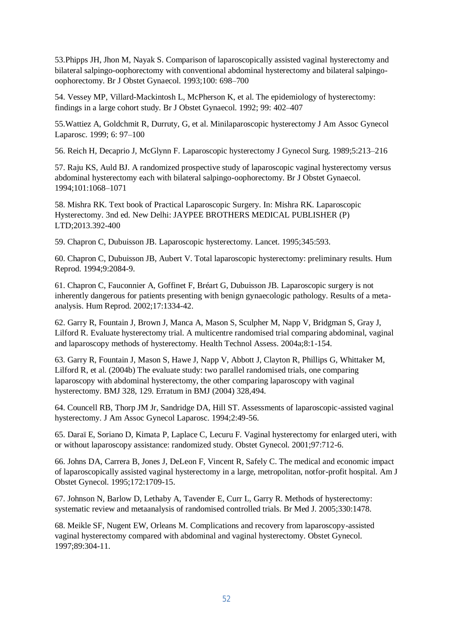53.Phipps JH, Jhon M, Nayak S. Comparison of laparoscopically assisted vaginal hysterectomy and bilateral salpingo-oophorectomy with conventional abdominal hysterectomy and bilateral salpingooophorectomy. Br J Obstet Gynaecol. 1993;100: 698–700

54. Vessey MP, Villard-Mackintosh L, McPherson K, et al. The epidemiology of hysterectomy: findings in a large cohort study. Br J Obstet Gynaecol. 1992; 99: 402–407

55.Wattiez A, Goldchmit R, Durruty, G, et al. Minilaparoscopic hysterectomy J Am Assoc Gynecol Laparosc. 1999; 6: 97–100

56. Reich H, Decaprio J, McGlynn F. Laparoscopic hysterectomy J Gynecol Surg. 1989;5:213–216

57. Raju KS, Auld BJ. A randomized prospective study of laparoscopic vaginal hysterectomy versus abdominal hysterectomy each with bilateral salpingo-oophorectomy. Br J Obstet Gynaecol. 1994;101:1068–1071

58. Mishra RK. Text book of Practical Laparoscopic Surgery. In: Mishra RK. Laparoscopic Hysterectomy. 3nd ed. New Delhi: JAYPEE BROTHERS MEDICAL PUBLISHER (P) LTD;2013.392-400

59. Chapron C, Dubuisson JB. Laparoscopic hysterectomy. Lancet. 1995;345:593.

60. Chapron C, Dubuisson JB, Aubert V. Total laparoscopic hysterectomy: preliminary results. Hum Reprod. 1994;9:2084-9.

61. Chapron C, Fauconnier A, Goffinet F, Bréart G, Dubuisson JB. Laparoscopic surgery is not inherently dangerous for patients presenting with benign gynaecologic pathology. Results of a metaanalysis. Hum Reprod. 2002;17:1334-42.

62. Garry R, Fountain J, Brown J, Manca A, Mason S, Sculpher M, Napp V, Bridgman S, Gray J, Lilford R. Evaluate hysterectomy trial. A multicentre randomised trial comparing abdominal, vaginal and laparoscopy methods of hysterectomy. Health Technol Assess. 2004a;8:1-154.

63. Garry R, Fountain J, Mason S, Hawe J, Napp V, Abbott J, Clayton R, Phillips G, Whittaker M, Lilford R, et al. (2004b) The evaluate study: two parallel randomised trials, one comparing laparoscopy with abdominal hysterectomy, the other comparing laparoscopy with vaginal hysterectomy. BMJ 328, 129. Erratum in BMJ (2004) 328,494.

64. Councell RB, Thorp JM Jr, Sandridge DA, Hill ST. Assessments of laparoscopic-assisted vaginal hysterectomy. J Am Assoc Gynecol Laparosc. 1994;2:49-56.

65. Daraï E, Soriano D, Kimata P, Laplace C, Lecuru F. Vaginal hysterectomy for enlarged uteri, with or without laparoscopy assistance: randomized study. Obstet Gynecol. 2001;97:712-6.

66. Johns DA, Carrera B, Jones J, DeLeon F, Vincent R, Safely C. The medical and economic impact of laparoscopically assisted vaginal hysterectomy in a large, metropolitan, notfor-profit hospital. Am J Obstet Gynecol. 1995;172:1709-15.

67. Johnson N, Barlow D, Lethaby A, Tavender E, Curr L, Garry R. Methods of hysterectomy: systematic review and metaanalysis of randomised controlled trials. Br Med J. 2005;330:1478.

68. Meikle SF, Nugent EW, Orleans M. Complications and recovery from laparoscopy-assisted vaginal hysterectomy compared with abdominal and vaginal hysterectomy. Obstet Gynecol. 1997;89:304-11.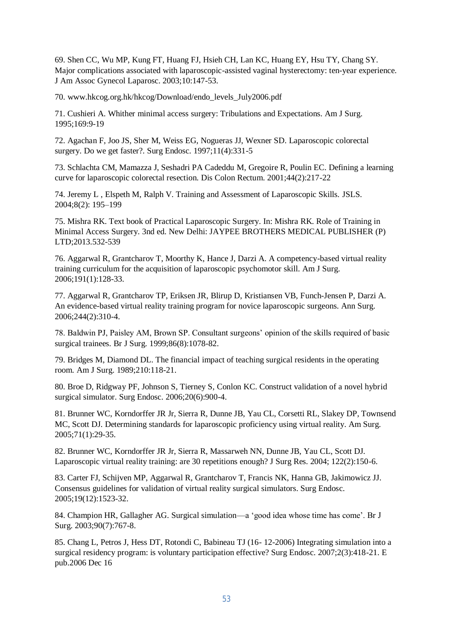69. Shen CC, Wu MP, Kung FT, Huang FJ, Hsieh CH, Lan KC, Huang EY, Hsu TY, Chang SY. Major complications associated with laparoscopic-assisted vaginal hysterectomy: ten-year experience. J Am Assoc Gynecol Laparosc. 2003;10:147-53.

70. [www.hkcog.org.hk/hkcog/Download/endo\\_levels\\_July2006.pdf](http://www.hkcog.org.hk/hkcog/Download/endo_levels_July2006.pdf)

71. Cushieri A. Whither minimal access surgery: Tribulations and Expectations. Am J Surg. 1995;169:9-19

72. Agachan F, Joo JS, Sher M, Weiss EG, Nogueras JJ, Wexner SD. Laparoscopic colorectal surgery. Do we get faster?. Surg Endosc. 1997;11(4):331-5

73. Schlachta CM, Mamazza J, Seshadri PA Cadeddu M, Gregoire R, Poulin EC. Defining a learning curve for laparoscopic colorectal resection. Dis Colon Rectum. 2001;44(2):217-22

74. Jeremy L , Elspeth M, Ralph V. Training and Assessment of Laparoscopic Skills. JSLS. 2004;8(2): 195–199

75. Mishra RK. Text book of Practical Laparoscopic Surgery. In: Mishra RK. Role of Training in Minimal Access Surgery. 3nd ed. New Delhi: JAYPEE BROTHERS MEDICAL PUBLISHER (P) LTD;2013.532-539

76. Aggarwal R, Grantcharov T, Moorthy K, Hance J, Darzi A. A competency-based virtual reality training curriculum for the acquisition of laparoscopic psychomotor skill. Am J Surg. 2006;191(1):128-33.

77. Aggarwal R, Grantcharov TP, Eriksen JR, Blirup D, Kristiansen VB, Funch-Jensen P, Darzi A. An evidence-based virtual reality training program for novice laparoscopic surgeons. Ann Surg. 2006;244(2):310-4.

78. Baldwin PJ, Paisley AM, Brown SP. Consultant surgeons' opinion of the skills required of basic surgical trainees. Br J Surg. 1999;86(8):1078-82.

79. Bridges M, Diamond DL. The financial impact of teaching surgical residents in the operating room. Am J Surg. 1989;210:118-21.

80. Broe D, Ridgway PF, Johnson S, Tierney S, Conlon KC. Construct validation of a novel hybrid surgical simulator. Surg Endosc. 2006;20(6):900-4.

81. Brunner WC, Korndorffer JR Jr, Sierra R, Dunne JB, Yau CL, Corsetti RL, Slakey DP, Townsend MC, Scott DJ. Determining standards for laparoscopic proficiency using virtual reality. Am Surg. 2005;71(1):29-35.

82. Brunner WC, Korndorffer JR Jr, Sierra R, Massarweh NN, Dunne JB, Yau CL, Scott DJ. Laparoscopic virtual reality training: are 30 repetitions enough? J Surg Res. 2004; 122(2):150-6.

83. Carter FJ, Schijven MP, Aggarwal R, Grantcharov T, Francis NK, Hanna GB, Jakimowicz JJ. Consensus guidelines for validation of virtual reality surgical simulators. Surg Endosc. 2005;19(12):1523-32.

84. Champion HR, Gallagher AG. Surgical simulation—a 'good idea whose time has come'. Br J Surg. 2003;90(7):767-8.

85. Chang L, Petros J, Hess DT, Rotondi C, Babineau TJ (16- 12-2006) Integrating simulation into a surgical residency program: is voluntary participation effective? Surg Endosc. 2007;2(3):418-21. E pub.2006 Dec 16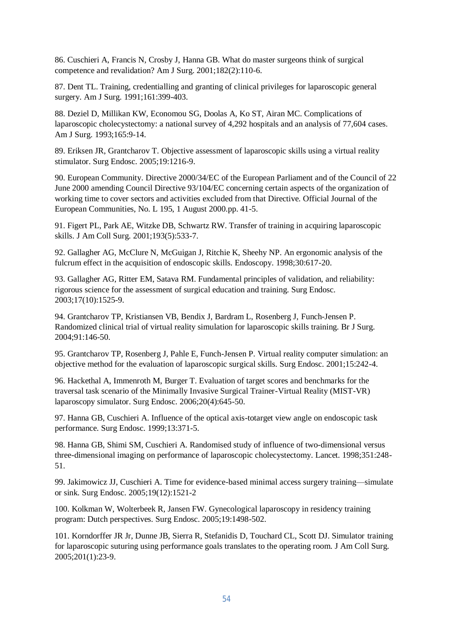86. Cuschieri A, Francis N, Crosby J, Hanna GB. What do master surgeons think of surgical competence and revalidation? Am J Surg. 2001;182(2):110-6.

87. Dent TL. Training, credentialling and granting of clinical privileges for laparoscopic general surgery. Am J Surg. 1991;161:399-403.

88. Deziel D, Millikan KW, Economou SG, Doolas A, Ko ST, Airan MC. Complications of laparoscopic cholecystectomy: a national survey of 4,292 hospitals and an analysis of 77,604 cases. Am J Surg. 1993;165:9-14.

89. Eriksen JR, Grantcharov T. Objective assessment of laparoscopic skills using a virtual reality stimulator. Surg Endosc. 2005;19:1216-9.

90. European Community. Directive 2000/34/EC of the European Parliament and of the Council of 22 June 2000 amending Council Directive 93/104/EC concerning certain aspects of the organization of working time to cover sectors and activities excluded from that Directive. Official Journal of the European Communities, No. L 195, 1 August 2000.pp. 41-5.

91. Figert PL, Park AE, Witzke DB, Schwartz RW. Transfer of training in acquiring laparoscopic skills. J Am Coll Surg. 2001;193(5):533-7.

92. Gallagher AG, McClure N, McGuigan J, Ritchie K, Sheehy NP. An ergonomic analysis of the fulcrum effect in the acquisition of endoscopic skills. Endoscopy. 1998;30:617-20.

93. Gallagher AG, Ritter EM, Satava RM. Fundamental principles of validation, and reliability: rigorous science for the assessment of surgical education and training. Surg Endosc. 2003;17(10):1525-9.

94. Grantcharov TP, Kristiansen VB, Bendix J, Bardram L, Rosenberg J, Funch-Jensen P. Randomized clinical trial of virtual reality simulation for laparoscopic skills training. Br J Surg. 2004;91:146-50.

95. Grantcharov TP, Rosenberg J, Pahle E, Funch-Jensen P. Virtual reality computer simulation: an objective method for the evaluation of laparoscopic surgical skills. Surg Endosc. 2001;15:242-4.

96. Hackethal A, Immenroth M, Burger T. Evaluation of target scores and benchmarks for the traversal task scenario of the Minimally Invasive Surgical Trainer-Virtual Reality (MIST-VR) laparoscopy simulator. Surg Endosc. 2006;20(4):645-50.

97. Hanna GB, Cuschieri A. Influence of the optical axis-totarget view angle on endoscopic task performance. Surg Endosc. 1999;13:371-5.

98. Hanna GB, Shimi SM, Cuschieri A. Randomised study of influence of two-dimensional versus three-dimensional imaging on performance of laparoscopic cholecystectomy. Lancet. 1998;351:248- 51.

99. Jakimowicz JJ, Cuschieri A. Time for evidence-based minimal access surgery training—simulate or sink. Surg Endosc. 2005;19(12):1521-2

100. Kolkman W, Wolterbeek R, Jansen FW. Gynecological laparoscopy in residency training program: Dutch perspectives. Surg Endosc. 2005;19:1498-502.

101. Korndorffer JR Jr, Dunne JB, Sierra R, Stefanidis D, Touchard CL, Scott DJ. Simulator training for laparoscopic suturing using performance goals translates to the operating room. J Am Coll Surg. 2005;201(1):23-9.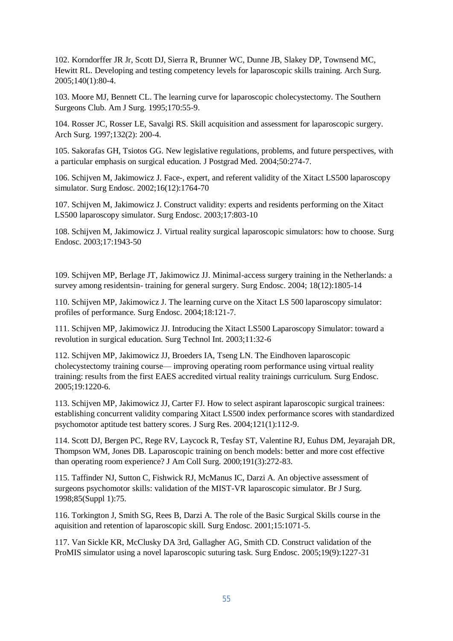102. Korndorffer JR Jr, Scott DJ, Sierra R, Brunner WC, Dunne JB, Slakey DP, Townsend MC, Hewitt RL. Developing and testing competency levels for laparoscopic skills training. Arch Surg. 2005;140(1):80-4.

103. Moore MJ, Bennett CL. The learning curve for laparoscopic cholecystectomy. The Southern Surgeons Club. Am J Surg. 1995;170:55-9.

104. Rosser JC, Rosser LE, Savalgi RS. Skill acquisition and assessment for laparoscopic surgery. Arch Surg. 1997;132(2): 200-4.

105. Sakorafas GH, Tsiotos GG. New legislative regulations, problems, and future perspectives, with a particular emphasis on surgical education. J Postgrad Med. 2004;50:274-7.

106. Schijven M, Jakimowicz J. Face-, expert, and referent validity of the Xitact LS500 laparoscopy simulator. Surg Endosc. 2002;16(12):1764-70

107. Schijven M, Jakimowicz J. Construct validity: experts and residents performing on the Xitact LS500 laparoscopy simulator. Surg Endosc. 2003;17:803-10

108. Schijven M, Jakimowicz J. Virtual reality surgical laparoscopic simulators: how to choose. Surg Endosc. 2003;17:1943-50

109. Schijven MP, Berlage JT, Jakimowicz JJ. Minimal-access surgery training in the Netherlands: a survey among residentsin- training for general surgery. Surg Endosc. 2004; 18(12):1805-14

110. Schijven MP, Jakimowicz J. The learning curve on the Xitact LS 500 laparoscopy simulator: profiles of performance. Surg Endosc. 2004;18:121-7.

111. Schijven MP, Jakimowicz JJ. Introducing the Xitact LS500 Laparoscopy Simulator: toward a revolution in surgical education. Surg Technol Int. 2003;11:32-6

112. Schijven MP, Jakimowicz JJ, Broeders IA, Tseng LN. The Eindhoven laparoscopic cholecystectomy training course— improving operating room performance using virtual reality training: results from the first EAES accredited virtual reality trainings curriculum. Surg Endosc. 2005;19:1220-6.

113. Schijven MP, Jakimowicz JJ, Carter FJ. How to select aspirant laparoscopic surgical trainees: establishing concurrent validity comparing Xitact LS500 index performance scores with standardized psychomotor aptitude test battery scores. J Surg Res. 2004;121(1):112-9.

114. Scott DJ, Bergen PC, Rege RV, Laycock R, Tesfay ST, Valentine RJ, Euhus DM, Jeyarajah DR, Thompson WM, Jones DB. Laparoscopic training on bench models: better and more cost effective than operating room experience? J Am Coll Surg. 2000;191(3):272-83.

115. Taffinder NJ, Sutton C, Fishwick RJ, McManus IC, Darzi A. An objective assessment of surgeons psychomotor skills: validation of the MIST-VR laparoscopic simulator. Br J Surg. 1998;85(Suppl 1):75.

116. Torkington J, Smith SG, Rees B, Darzi A. The role of the Basic Surgical Skills course in the aquisition and retention of laparoscopic skill. Surg Endosc. 2001;15:1071-5.

117. Van Sickle KR, McClusky DA 3rd, Gallagher AG, Smith CD. Construct validation of the ProMIS simulator using a novel laparoscopic suturing task. Surg Endosc. 2005;19(9):1227-31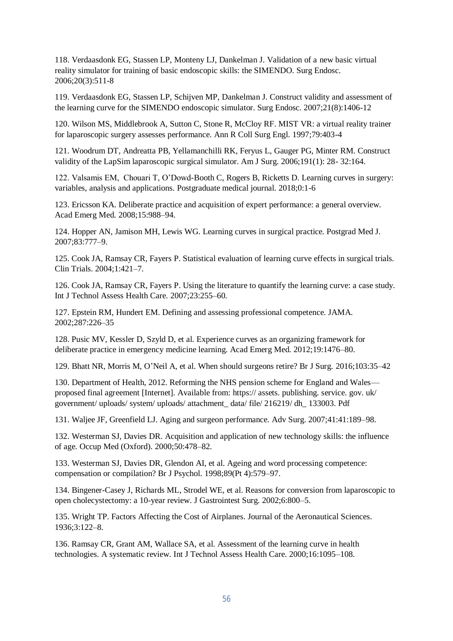118. Verdaasdonk EG, Stassen LP, Monteny LJ, Dankelman J. Validation of a new basic virtual reality simulator for training of basic endoscopic skills: the SIMENDO. Surg Endosc. 2006;20(3):511-8

119. Verdaasdonk EG, Stassen LP, Schijven MP, Dankelman J. Construct validity and assessment of the learning curve for the SIMENDO endoscopic simulator. Surg Endosc. 2007;21(8):1406-12

120. Wilson MS, Middlebrook A, Sutton C, Stone R, McCloy RF. MIST VR: a virtual reality trainer for laparoscopic surgery assesses performance. Ann R Coll Surg Engl. 1997;79:403-4

121. Woodrum DT, Andreatta PB, Yellamanchilli RK, Feryus L, Gauger PG, Minter RM. Construct validity of the LapSim laparoscopic surgical simulator. Am J Surg. 2006;191(1): 28- 32:164.

122. Valsamis EM, Chouari T, O'Dowd-Booth C, Rogers B, Ricketts D. Learning curves in surgery: variables, analysis and applications. Postgraduate medical journal. 2018;0:1-6

123. Ericsson KA. Deliberate practice and acquisition of expert performance: a general overview. Acad Emerg Med. 2008;15:988–94.

124. Hopper AN, Jamison MH, Lewis WG. Learning curves in surgical practice. Postgrad Med J. 2007;83:777–9.

125. Cook JA, Ramsay CR, Fayers P. Statistical evaluation of learning curve effects in surgical trials. Clin Trials. 2004;1:421–7.

126. Cook JA, Ramsay CR, Fayers P. Using the literature to quantify the learning curve: a case study. Int J Technol Assess Health Care. 2007;23:255–60.

127. Epstein RM, Hundert EM. Defining and assessing professional competence. JAMA. 2002;287:226–35

128. Pusic MV, Kessler D, Szyld D, et al. Experience curves as an organizing framework for deliberate practice in emergency medicine learning. Acad Emerg Med. 2012;19:1476–80.

129. Bhatt NR, Morris M, O'Neil A, et al. When should surgeons retire? Br J Surg. 2016;103:35–42

130. Department of Health, 2012. Reforming the NHS pension scheme for England and Wales proposed final agreement [Internet]. Available from: https:// assets. publishing. service. gov. uk/ government/ uploads/ system/ uploads/ attachment\_ data/ file/ 216219/ dh\_ 133003. Pdf

131. Waljee JF, Greenfield LJ. Aging and surgeon performance. Adv Surg. 2007;41:41:189–98.

132. Westerman SJ, Davies DR. Acquisition and application of new technology skills: the influence of age. Occup Med (Oxford). 2000;50:478–82.

133. Westerman SJ, Davies DR, Glendon AI, et al. Ageing and word processing competence: compensation or compilation? Br J Psychol. 1998;89(Pt 4):579–97.

134. Bingener-Casey J, Richards ML, Strodel WE, et al. Reasons for conversion from laparoscopic to open cholecystectomy: a 10-year review. J Gastrointest Surg. 2002;6:800–5.

135. Wright TP. Factors Affecting the Cost of Airplanes. Journal of the Aeronautical Sciences. 1936;3:122–8.

136. Ramsay CR, Grant AM, Wallace SA, et al. Assessment of the learning curve in health technologies. A systematic review. Int J Technol Assess Health Care. 2000;16:1095–108.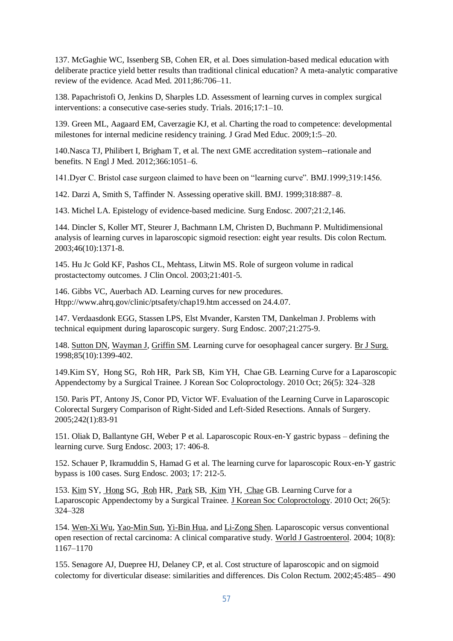137. McGaghie WC, Issenberg SB, Cohen ER, et al. Does simulation-based medical education with deliberate practice yield better results than traditional clinical education? A meta-analytic comparative review of the evidence. Acad Med. 2011;86:706–11.

138. Papachristofi O, Jenkins D, Sharples LD. Assessment of learning curves in complex surgical interventions: a consecutive case-series study. Trials. 2016;17:1–10.

139. Green ML, Aagaard EM, Caverzagie KJ, et al. Charting the road to competence: developmental milestones for internal medicine residency training. J Grad Med Educ. 2009;1:5–20.

140.Nasca TJ, Philibert I, Brigham T, et al. The next GME accreditation system--rationale and benefits. N Engl J Med. 2012;366:1051–6.

141.Dyer C. Bristol case surgeon claimed to have been on "learning curve". BMJ.1999;319:1456.

142. Darzi A, Smith S, Taffinder N. Assessing operative skill. BMJ. 1999;318:887–8.

143. Michel LA. Epistelogy of evidence-based medicine. Surg Endosc. 2007;21:2,146.

144. Dincler S, Koller MT, Steurer J, Bachmann LM, Christen D, Buchmann P. Multidimensional analysis of learning curves in laparoscopic sigmoid resection: eight year results. Dis colon Rectum. 2003;46(10):1371-8.

145. Hu Jc Gold KF, Pashos CL, Mehtass, Litwin MS. Role of surgeon volume in radical prostactectomy outcomes. J Clin Oncol. 2003;21:401-5.

146. Gibbs VC, Auerbach AD. Learning curves for new procedures. Htpp://www.ahrq.gov/clinic/ptsafety/chap19.htm accessed on 24.4.07.

147. Verdaasdonk EGG, Stassen LPS, Elst Mvander, Karsten TM, Dankelman J. Problems with technical equipment during laparoscopic surgery. Surg Endosc. 2007;21:275-9.

148. [Sutton DN,](https://www.ncbi.nlm.nih.gov/pubmed/?term=Sutton%20DN%5BAuthor%5D&cauthor=true&cauthor_uid=9782024) [Wayman J,](https://www.ncbi.nlm.nih.gov/pubmed/?term=Wayman%20J%5BAuthor%5D&cauthor=true&cauthor_uid=9782024) [Griffin SM.](https://www.ncbi.nlm.nih.gov/pubmed/?term=Griffin%20SM%5BAuthor%5D&cauthor=true&cauthor_uid=9782024) Learning curve for oesophageal cancer surgery. [Br J Surg.](https://www.ncbi.nlm.nih.gov/pubmed/9782024) 1998;85(10):1399-402.

149.Kim SY, Hong SG, Roh HR, Park SB, Kim YH, Chae GB. Learning Curve for a Laparoscopic Appendectomy by a Surgical Trainee. J Korean Soc Coloproctology. 2010 Oct; 26(5): 324–328

150. Paris PT, Antony JS, Conor PD, Victor WF. Evaluation of the Learning Curve in Laparoscopic Colorectal Surgery Comparison of Right-Sided and Left-Sided Resections. Annals of Surgery. 2005;242(1):83-91

151. Oliak D, Ballantyne GH, Weber P et al. Laparoscopic Roux-en-Y gastric bypass – defining the learning curve. Surg Endosc. 2003; 17: 406-8.

152. Schauer P, Ikramuddin S, Hamad G et al. The learning curve for laparoscopic Roux-en-Y gastric bypass is 100 cases. Surg Endosc. 2003; 17: 212-5.

153. [Kim](https://www.ncbi.nlm.nih.gov/pubmed/?term=Kim%20SY%5BAuthor%5D&cauthor=true&cauthor_uid=21152134) SY, [Hong](https://www.ncbi.nlm.nih.gov/pubmed/?term=Hong%20SG%5BAuthor%5D&cauthor=true&cauthor_uid=21152134) SG, [Roh](https://www.ncbi.nlm.nih.gov/pubmed/?term=Roh%20HR%5BAuthor%5D&cauthor=true&cauthor_uid=21152134) HR, [Park](https://www.ncbi.nlm.nih.gov/pubmed/?term=Park%20SB%5BAuthor%5D&cauthor=true&cauthor_uid=21152134) SB[, Kim](https://www.ncbi.nlm.nih.gov/pubmed/?term=Kim%20YH%5BAuthor%5D&cauthor=true&cauthor_uid=21152134) YH, [Chae](https://www.ncbi.nlm.nih.gov/pubmed/?term=Chae%20GB%5BAuthor%5D&cauthor=true&cauthor_uid=21152134) GB. Learning Curve for a Laparoscopic Appendectomy by a Surgical Trainee. [J Korean Soc Coloproctology.](https://www.ncbi.nlm.nih.gov/pmc/articles/PMC2998026/) 2010 Oct; 26(5): 324–328

154. [Wen-Xi Wu,](https://www.ncbi.nlm.nih.gov/pubmed/?term=Wu%20WX%5BAuthor%5D&cauthor=true&cauthor_uid=15069719) [Yao-Min Sun,](https://www.ncbi.nlm.nih.gov/pubmed/?term=Sun%20YM%5BAuthor%5D&cauthor=true&cauthor_uid=15069719) [Yi-Bin Hua,](https://www.ncbi.nlm.nih.gov/pubmed/?term=Hua%20YB%5BAuthor%5D&cauthor=true&cauthor_uid=15069719) and [Li-Zong Shen.](https://www.ncbi.nlm.nih.gov/pubmed/?term=Shen%20LZ%5BAuthor%5D&cauthor=true&cauthor_uid=15069719) Laparoscopic versus conventional open resection of rectal carcinoma: A clinical comparative study. [World J Gastroenterol.](https://www.ncbi.nlm.nih.gov/pmc/articles/PMC4656354/) 2004; 10(8): 1167–1170

155. Senagore AJ, Duepree HJ, Delaney CP, et al. Cost structure of laparoscopic and on sigmoid colectomy for diverticular disease: similarities and differences. Dis Colon Rectum. 2002;45:485– 490